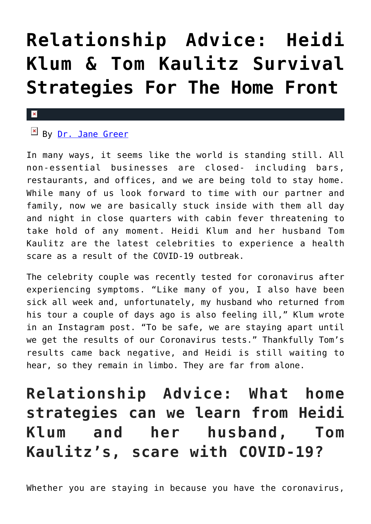# **[Relationship Advice: Heidi](https://cupidspulse.com/134460/relationship-advice-heidi-klum-tom-kaulitz-survival-strategies-home/) [Klum & Tom Kaulitz Survival](https://cupidspulse.com/134460/relationship-advice-heidi-klum-tom-kaulitz-survival-strategies-home/) [Strategies For The Home Front](https://cupidspulse.com/134460/relationship-advice-heidi-klum-tom-kaulitz-survival-strategies-home/)**

#### $\pmb{\times}$

### By [Dr. Jane Greer](http://cupidspulse.com/relationship-experts/page-dr-jane-greer/)

In many ways, it seems like the world is standing still. All non-essential businesses are closed- including bars, restaurants, and offices, and we are being told to stay home. While many of us look forward to time with our partner and family, now we are basically stuck inside with them all day and night in close quarters with cabin fever threatening to take hold of any moment. Heidi Klum and her husband Tom Kaulitz are the latest celebrities to experience a health scare as a result of the COVID-19 outbreak.

The celebrity couple was recently tested for coronavirus after experiencing symptoms. "Like many of you, I also have been sick all week and, unfortunately, my husband who returned from his tour a couple of days ago is also feeling ill," Klum wrote in an Instagram post. "To be safe, we are staying apart until we get the results of our Coronavirus tests." Thankfully Tom's results came back negative, and Heidi is still waiting to hear, so they remain in limbo. They are far from alone.

## **Relationship Advice: What home strategies can we learn from Heidi Klum and her husband, Tom Kaulitz's, scare with COVID-19?**

Whether you are staying in because you have the coronavirus,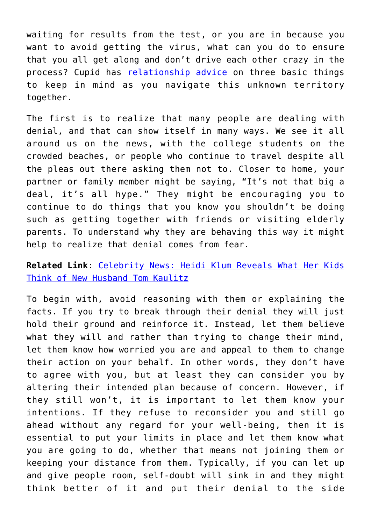waiting for results from the test, or you are in because you want to avoid getting the virus, what can you do to ensure that you all get along and don't drive each other crazy in the process? Cupid has [relationship advice](http://cupidspulse.com/love/relationship-advice-articles/) on three basic things to keep in mind as you navigate this unknown territory together.

The first is to realize that many people are dealing with denial, and that can show itself in many ways. We see it all around us on the news, with the college students on the crowded beaches, or people who continue to travel despite all the pleas out there asking them not to. Closer to home, your partner or family member might be saying, "It's not that big a deal, it's all hype." They might be encouraging you to continue to do things that you know you shouldn't be doing such as getting together with friends or visiting elderly parents. To understand why they are behaving this way it might help to realize that denial comes from fear.

### **Related Link**: [Celebrity News: Heidi Klum Reveals What Her Kids](http://cupidspulse.com/133195/celebrity-news-heidi-klum-reveals-kids-think-husband-tom-kaulitz/) [Think of New Husband Tom Kaulitz](http://cupidspulse.com/133195/celebrity-news-heidi-klum-reveals-kids-think-husband-tom-kaulitz/)

To begin with, avoid reasoning with them or explaining the facts. If you try to break through their denial they will just hold their ground and reinforce it. Instead, let them believe what they will and rather than trying to change their mind, let them know how worried you are and appeal to them to change their action on your behalf. In other words, they don't have to agree with you, but at least they can consider you by altering their intended plan because of concern. However, if they still won't, it is important to let them know your intentions. If they refuse to reconsider you and still go ahead without any regard for your well-being, then it is essential to put your limits in place and let them know what you are going to do, whether that means not joining them or keeping your distance from them. Typically, if you can let up and give people room, self-doubt will sink in and they might think better of it and put their denial to the side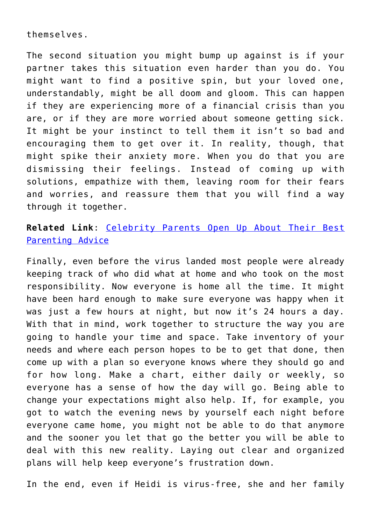themselves.

The second situation you might bump up against is if your partner takes this situation even harder than you do. You might want to find a positive spin, but your loved one, understandably, might be all doom and gloom. This can happen if they are experiencing more of a financial crisis than you are, or if they are more worried about someone getting sick. It might be your instinct to tell them it isn't so bad and encouraging them to get over it. In reality, though, that might spike their anxiety more. When you do that you are dismissing their feelings. Instead of coming up with solutions, empathize with them, leaving room for their fears and worries, and reassure them that you will find a way through it together.

### **Related Link**: [Celebrity Parents Open Up About Their Best](http://cupidspulse.com/119397/celebrity-parents-open-up-best-parenting-advice/) [Parenting Advice](http://cupidspulse.com/119397/celebrity-parents-open-up-best-parenting-advice/)

Finally, even before the virus landed most people were already keeping track of who did what at home and who took on the most responsibility. Now everyone is home all the time. It might have been hard enough to make sure everyone was happy when it was just a few hours at night, but now it's 24 hours a day. With that in mind, work together to structure the way you are going to handle your time and space. Take inventory of your needs and where each person hopes to be to get that done, then come up with a plan so everyone knows where they should go and for how long. Make a chart, either daily or weekly, so everyone has a sense of how the day will go. Being able to change your expectations might also help. If, for example, you got to watch the evening news by yourself each night before everyone came home, you might not be able to do that anymore and the sooner you let that go the better you will be able to deal with this new reality. Laying out clear and organized plans will help keep everyone's frustration down.

In the end, even if Heidi is virus-free, she and her family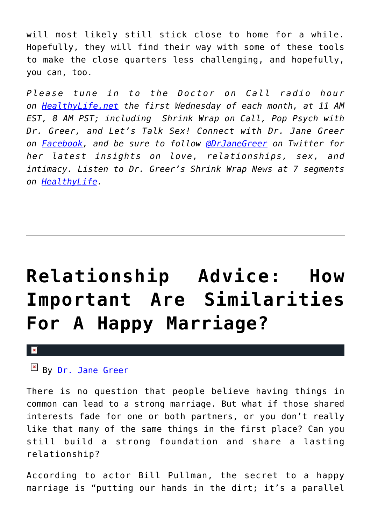will most likely still stick close to home for a while. Hopefully, they will find their way with some of these tools to make the close quarters less challenging, and hopefully, you can, too.

*Please tune in to the Doctor on Call radio hour on [HealthyLife.net](http://healthylife.net/) the first Wednesday of each month, at 11 AM EST, 8 AM PST; including Shrink Wrap on Call, Pop Psych with Dr. Greer, and Let's Talk Sex! Connect with Dr. Jane Greer on [Facebook,](https://www.facebook.com/DrJaneGreer) and be sure to follow [@DrJaneGreer](https://twitter.com/drjanegreer) on Twitter for her latest insights on love, relationships, sex, and intimacy. Listen to Dr. Greer's Shrink Wrap News at 7 segments on [HealthyLife](http://www.healthylife.net/RadioShow/archiveNSS.htm).*

# **[Relationship Advice: How](https://cupidspulse.com/134377/relationship-advice-how-important-similarities-happy-marriage/) [Important Are Similarities](https://cupidspulse.com/134377/relationship-advice-how-important-similarities-happy-marriage/) [For A Happy Marriage?](https://cupidspulse.com/134377/relationship-advice-how-important-similarities-happy-marriage/)**

By [Dr. Jane Greer](http://cupidspulse.com/relationship-experts/page-dr-jane-greer/)

There is no question that people believe having things in common can lead to a strong marriage. But what if those shared interests fade for one or both partners, or you don't really like that many of the same things in the first place? Can you still build a strong foundation and share a lasting relationship?

According to actor Bill Pullman, the secret to a happy marriage is "putting our hands in the dirt; it's a parallel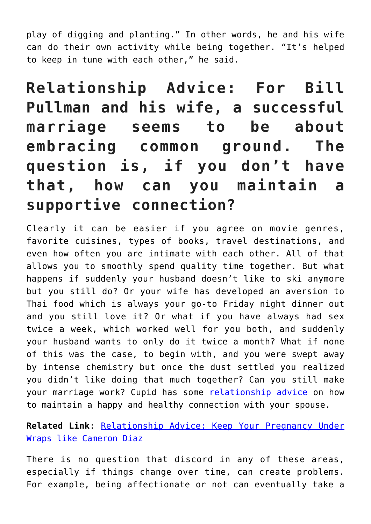play of digging and planting." In other words, he and his wife can do their own activity while being together. "It's helped to keep in tune with each other," he said.

**Relationship Advice: For Bill Pullman and his wife, a successful marriage seems to be about embracing common ground. The question is, if you don't have that, how can you maintain a supportive connection?**

Clearly it can be easier if you agree on movie genres, favorite cuisines, types of books, travel destinations, and even how often you are intimate with each other. All of that allows you to smoothly spend quality time together. But what happens if suddenly your husband doesn't like to ski anymore but you still do? Or your wife has developed an aversion to Thai food which is always your go-to Friday night dinner out and you still love it? Or what if you have always had sex twice a week, which worked well for you both, and suddenly your husband wants to only do it twice a month? What if none of this was the case, to begin with, and you were swept away by intense chemistry but once the dust settled you realized you didn't like doing that much together? Can you still make your marriage work? Cupid has some [relationship advice](http://cupidspulse.com/love/relationship-advice-articles/) on how to maintain a happy and healthy connection with your spouse.

**Related Link**: [Relationship Advice: Keep Your Pregnancy Under](http://cupidspulse.com/134250/relationship-advice-keep-pregnancy-secret-cameron-diaz-dr-jane-greer/) [Wraps like Cameron Diaz](http://cupidspulse.com/134250/relationship-advice-keep-pregnancy-secret-cameron-diaz-dr-jane-greer/)

There is no question that discord in any of these areas, especially if things change over time, can create problems. For example, being affectionate or not can eventually take a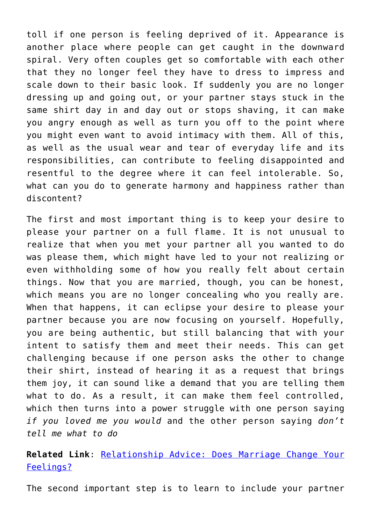toll if one person is feeling deprived of it. Appearance is another place where people can get caught in the downward spiral. Very often couples get so comfortable with each other that they no longer feel they have to dress to impress and scale down to their basic look. If suddenly you are no longer dressing up and going out, or your partner stays stuck in the same shirt day in and day out or stops shaving, it can make you angry enough as well as turn you off to the point where you might even want to avoid intimacy with them. All of this, as well as the usual wear and tear of everyday life and its responsibilities, can contribute to feeling disappointed and resentful to the degree where it can feel intolerable. So, what can you do to generate harmony and happiness rather than discontent?

The first and most important thing is to keep your desire to please your partner on a full flame. It is not unusual to realize that when you met your partner all you wanted to do was please them, which might have led to your not realizing or even withholding some of how you really felt about certain things. Now that you are married, though, you can be honest, which means you are no longer concealing who you really are. When that happens, it can eclipse your desire to please your partner because you are now focusing on yourself. Hopefully, you are being authentic, but still balancing that with your intent to satisfy them and meet their needs. This can get challenging because if one person asks the other to change their shirt, instead of hearing it as a request that brings them joy, it can sound like a demand that you are telling them what to do. As a result, it can make them feel controlled, which then turns into a power struggle with one person saying *if you loved me you would* and the other person saying *don't tell me what to do*

**Related Link**: [Relationship Advice: Does Marriage Change Your](http://cupidspulse.com/134365/relationship-advice-marriage-change-feelings-dr-jane-greer/) [Feelings?](http://cupidspulse.com/134365/relationship-advice-marriage-change-feelings-dr-jane-greer/)

The second important step is to learn to include your partner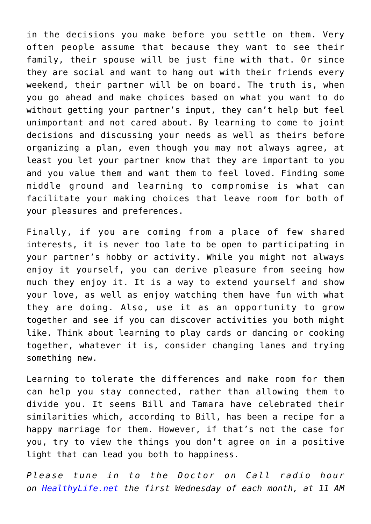in the decisions you make before you settle on them. Very often people assume that because they want to see their family, their spouse will be just fine with that. Or since they are social and want to hang out with their friends every weekend, their partner will be on board. The truth is, when you go ahead and make choices based on what you want to do without getting your partner's input, they can't help but feel unimportant and not cared about. By learning to come to joint decisions and discussing your needs as well as theirs before organizing a plan, even though you may not always agree, at least you let your partner know that they are important to you and you value them and want them to feel loved. Finding some middle ground and learning to compromise is what can facilitate your making choices that leave room for both of your pleasures and preferences.

Finally, if you are coming from a place of few shared interests, it is never too late to be open to participating in your partner's hobby or activity. While you might not always enjoy it yourself, you can derive pleasure from seeing how much they enjoy it. It is a way to extend yourself and show your love, as well as enjoy watching them have fun with what they are doing. Also, use it as an opportunity to grow together and see if you can discover activities you both might like. Think about learning to play cards or dancing or cooking together, whatever it is, consider changing lanes and trying something new.

Learning to tolerate the differences and make room for them can help you stay connected, rather than allowing them to divide you. It seems Bill and Tamara have celebrated their similarities which, according to Bill, has been a recipe for a happy marriage for them. However, if that's not the case for you, try to view the things you don't agree on in a positive light that can lead you both to happiness.

*Please tune in to the Doctor on Call radio hour on [HealthyLife.net](http://healthylife.net/) the first Wednesday of each month, at 11 AM*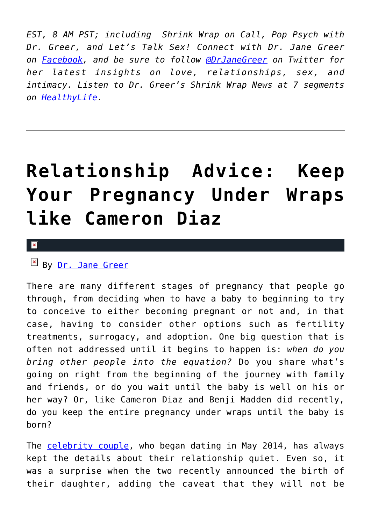*EST, 8 AM PST; including Shrink Wrap on Call, Pop Psych with Dr. Greer, and Let's Talk Sex! Connect with Dr. Jane Greer on [Facebook,](https://www.facebook.com/DrJaneGreer) and be sure to follow [@DrJaneGreer](https://twitter.com/drjanegreer) on Twitter for her latest insights on love, relationships, sex, and intimacy. Listen to Dr. Greer's Shrink Wrap News at 7 segments on [HealthyLife](http://www.healthylife.net/RadioShow/archiveNSS.htm).*

# **[Relationship Advice: Keep](https://cupidspulse.com/134250/relationship-advice-keep-pregnancy-secret-cameron-diaz-dr-jane-greer/) [Your Pregnancy Under Wraps](https://cupidspulse.com/134250/relationship-advice-keep-pregnancy-secret-cameron-diaz-dr-jane-greer/) [like Cameron Diaz](https://cupidspulse.com/134250/relationship-advice-keep-pregnancy-secret-cameron-diaz-dr-jane-greer/)**

#### $\mathbf{x}$

### By [Dr. Jane Greer](http://cupidspulse.com/relationship-experts/page-dr-jane-greer/)

There are many different stages of pregnancy that people go through, from deciding when to have a baby to beginning to try to conceive to either becoming pregnant or not and, in that case, having to consider other options such as fertility treatments, surrogacy, and adoption. One big question that is often not addressed until it begins to happen is: *when do you bring other people into the equation?* Do you share what's going on right from the beginning of the journey with family and friends, or do you wait until the baby is well on his or her way? Or, like Cameron Diaz and Benji Madden did recently, do you keep the entire pregnancy under wraps until the baby is born?

The [celebrity couple,](http://cupidspulse.com/celebrity-news/celebrity-dating/) who began dating in May 2014, has always kept the details about their relationship quiet. Even so, it was a surprise when the two recently announced the birth of their daughter, adding the caveat that they will not be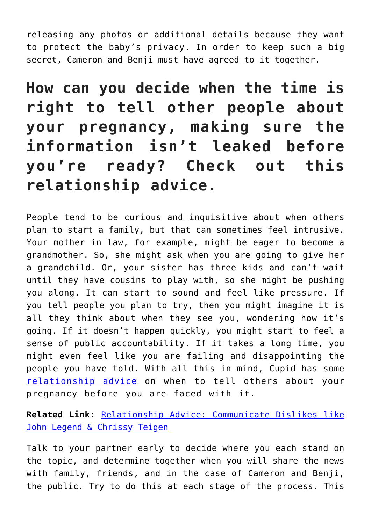releasing any photos or additional details because they want to protect the baby's privacy. In order to keep such a big secret, Cameron and Benji must have agreed to it together.

**How can you decide when the time is right to tell other people about your pregnancy, making sure the information isn't leaked before you're ready? Check out this relationship advice.**

People tend to be curious and inquisitive about when others plan to start a family, but that can sometimes feel intrusive. Your mother in law, for example, might be eager to become a grandmother. So, she might ask when you are going to give her a grandchild. Or, your sister has three kids and can't wait until they have cousins to play with, so she might be pushing you along. It can start to sound and feel like pressure. If you tell people you plan to try, then you might imagine it is all they think about when they see you, wondering how it's going. If it doesn't happen quickly, you might start to feel a sense of public accountability. If it takes a long time, you might even feel like you are failing and disappointing the people you have told. With all this in mind, Cupid has some [relationship advice](http://cupidspulse.com/love/relationship-advice-articles/) on when to tell others about your pregnancy before you are faced with it.

**Related Link**: [Relationship Advice: Communicate Dislikes like](http://cupidspulse.com/133945/relationship-advice-communicate-dislikes-john-legend-dr-jane-greer/) [John Legend & Chrissy Teigen](http://cupidspulse.com/133945/relationship-advice-communicate-dislikes-john-legend-dr-jane-greer/)

Talk to your partner early to decide where you each stand on the topic, and determine together when you will share the news with family, friends, and in the case of Cameron and Benji, the public. Try to do this at each stage of the process. This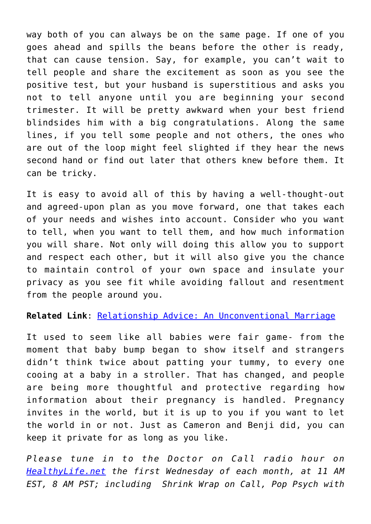way both of you can always be on the same page. If one of you goes ahead and spills the beans before the other is ready, that can cause tension. Say, for example, you can't wait to tell people and share the excitement as soon as you see the positive test, but your husband is superstitious and asks you not to tell anyone until you are beginning your second trimester. It will be pretty awkward when your best friend blindsides him with a big congratulations. Along the same lines, if you tell some people and not others, the ones who are out of the loop might feel slighted if they hear the news second hand or find out later that others knew before them. It can be tricky.

It is easy to avoid all of this by having a well-thought-out and agreed-upon plan as you move forward, one that takes each of your needs and wishes into account. Consider who you want to tell, when you want to tell them, and how much information you will share. Not only will doing this allow you to support and respect each other, but it will also give you the chance to maintain control of your own space and insulate your privacy as you see fit while avoiding fallout and resentment from the people around you.

**Related Link**: [Relationship Advice: An Unconventional Marriage](http://cupidspulse.com/132749/relationship-advice-an-unconventional-marriage/)

It used to seem like all babies were fair game- from the moment that baby bump began to show itself and strangers didn't think twice about patting your tummy, to every one cooing at a baby in a stroller. That has changed, and people are being more thoughtful and protective regarding how information about their pregnancy is handled. Pregnancy invites in the world, but it is up to you if you want to let the world in or not. Just as Cameron and Benji did, you can keep it private for as long as you like.

*Please tune in to the Doctor on Call radio hour on [HealthyLife.net](http://healthylife.net/) the first Wednesday of each month, at 11 AM EST, 8 AM PST; including Shrink Wrap on Call, Pop Psych with*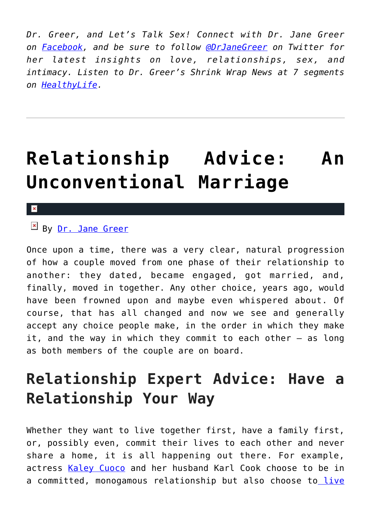*Dr. Greer, and Let's Talk Sex! Connect with Dr. Jane Greer on [Facebook,](https://www.facebook.com/DrJaneGreer) and be sure to follow [@DrJaneGreer](https://twitter.com/drjanegreer) on Twitter for her latest insights on love, relationships, sex, and intimacy. Listen to Dr. Greer's Shrink Wrap News at 7 segments on [HealthyLife](http://www.healthylife.net/RadioShow/archiveNSS.htm).*

# **[Relationship Advice: An](https://cupidspulse.com/132749/relationship-advice-an-unconventional-marriage/) [Unconventional Marriage](https://cupidspulse.com/132749/relationship-advice-an-unconventional-marriage/)**

#### $\pmb{\times}$

### $B$  By [Dr. Jane Greer](http://cupidspulse.com/relationship-experts/page-dr-jane-greer/)

Once upon a time, there was a very clear, natural progression of how a couple moved from one phase of their relationship to another: they dated, became engaged, got married, and, finally, moved in together. Any other choice, years ago, would have been frowned upon and maybe even whispered about. Of course, that has all changed and now we see and generally accept any choice people make, in the order in which they make it, and the way in which they commit to each other – as long as both members of the couple are on board.

## **Relationship Expert Advice: Have a Relationship Your Way**

Whether they want to live together first, have a family first, or, possibly even, commit their lives to each other and never share a home, it is all happening out there. For example, actress [Kaley Cuoco](http://cupidspulse.com/109120/kaley-cuoco/) and her husband Karl Cook choose to be in a committed, monogamous relationship but also choose to [live](https://parade.com/913213/maggie_parker/live-apart-from-your-spouse/)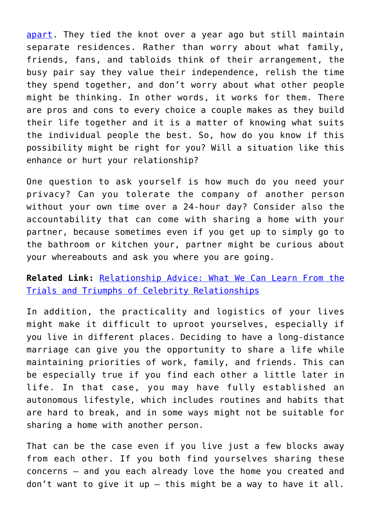[apart.](https://parade.com/913213/maggie_parker/live-apart-from-your-spouse/) They tied the knot over a year ago but still maintain separate residences. Rather than worry about what family, friends, fans, and tabloids think of their arrangement, the busy pair say they value their independence, relish the time they spend together, and don't worry about what other people might be thinking. In other words, it works for them. There are pros and cons to every choice a couple makes as they build their life together and it is a matter of knowing what suits the individual people the best. So, how do you know if this possibility might be right for you? Will a situation like this enhance or hurt your relationship?

One question to ask yourself is how much do you need your privacy? Can you tolerate the company of another person without your own time over a 24-hour day? Consider also the accountability that can come with sharing a home with your partner, because sometimes even if you get up to simply go to the bathroom or kitchen your, partner might be curious about your whereabouts and ask you where you are going.

### **Related Link:** [Relationship Advice: What We Can Learn From the](http://cupidspulse.com/131445/relationship-advice-toxic-relationships/) [Trials and Triumphs of Celebrity Relationships](http://cupidspulse.com/131445/relationship-advice-toxic-relationships/)

In addition, the practicality and logistics of your lives might make it difficult to uproot yourselves, especially if you live in different places. Deciding to have a long-distance marriage can give you the opportunity to share a life while maintaining priorities of work, family, and friends. This can be especially true if you find each other a little later in life. In that case, you may have fully established an autonomous lifestyle, which includes routines and habits that are hard to break, and in some ways might not be suitable for sharing a home with another person.

That can be the case even if you live just a few blocks away from each other. If you both find yourselves sharing these concerns – and you each already love the home you created and don't want to give it up – this might be a way to have it all.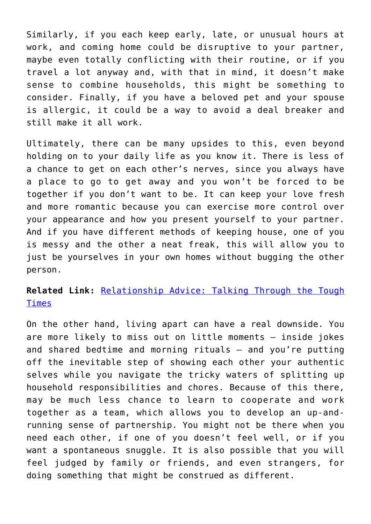Similarly, if you each keep early, late, or unusual hours at work, and coming home could be disruptive to your partner, maybe even totally conflicting with their routine, or if you travel a lot anyway and, with that in mind, it doesn't make sense to combine households, this might be something to consider. Finally, if you have a beloved pet and your spouse is allergic, it could be a way to avoid a deal breaker and still make it all work.

Ultimately, there can be many upsides to this, even beyond holding on to your daily life as you know it. There is less of a chance to get on each other's nerves, since you always have a place to go to get away and you won't be forced to be together if you don't want to be. It can keep your love fresh and more romantic because you can exercise more control over your appearance and how you present yourself to your partner. And if you have different methods of keeping house, one of you is messy and the other a neat freak, this will allow you to just be yourselves in your own homes without bugging the other person.

**Related Link:** [Relationship Advice: Talking Through the Tough](http://cupidspulse.com/130306/relationship-advice-talking-through-tough-times/) [Times](http://cupidspulse.com/130306/relationship-advice-talking-through-tough-times/)

On the other hand, living apart can have a real downside. You are more likely to miss out on little moments – inside jokes and shared bedtime and morning rituals – and you're putting off the inevitable step of showing each other your authentic selves while you navigate the tricky waters of splitting up household responsibilities and chores. Because of this there, may be much less chance to learn to cooperate and work together as a team, which allows you to develop an up-andrunning sense of partnership. You might not be there when you need each other, if one of you doesn't feel well, or if you want a spontaneous snuggle. It is also possible that you will feel judged by family or friends, and even strangers, for doing something that might be construed as different.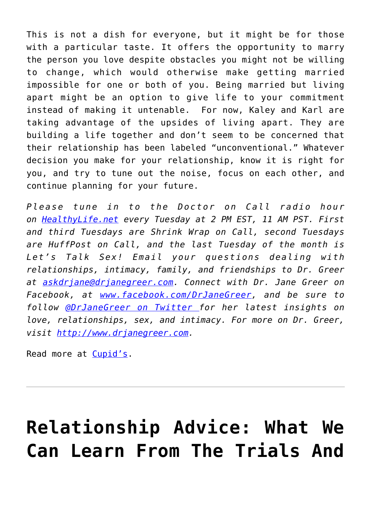This is not a dish for everyone, but it might be for those with a particular taste. It offers the opportunity to marry the person you love despite obstacles you might not be willing to change, which would otherwise make getting married impossible for one or both of you. Being married but living apart might be an option to give life to your commitment instead of making it untenable. For now, Kaley and Karl are taking advantage of the upsides of living apart. They are building a life together and don't seem to be concerned that their relationship has been labeled "unconventional." Whatever decision you make for your relationship, know it is right for you, and try to tune out the noise, focus on each other, and continue planning for your future.

*Please tune in to the Doctor on Call radio hour on [HealthyLife.net](http://www.healthylife.net/) every Tuesday at 2 PM EST, 11 AM PST. First and third Tuesdays are Shrink Wrap on Call, second Tuesdays are HuffPost on Call, and the last Tuesday of the month is Let's Talk Sex! Email your questions dealing with relationships, intimacy, family, and friendships to Dr. Greer at [askdrjane@drjanegreer.com](mailto:askdrjane@drjanegreer.com). Connect with Dr. Jane Greer on Facebook, at [www.facebook.com/DrJaneGreer,](http://www.facebook.com/DrJaneGreer) and be sure to follow [@DrJaneGreer on Twitter f](https://twitter.com/#!/DrJaneGreer)or her latest insights on love, relationships, sex, and intimacy. For more on Dr. Greer, visit [http://www.drjanegreer.com.](http://www.drjanegreer.com/)*

Read more at [Cupid's](http://cupidspulse.com/131445/relationship-advice-toxic-relationships/#iQgkas5SjKdGsGwo.99).

# **[Relationship Advice: What We](https://cupidspulse.com/131445/relationship-advice-toxic-relationships/) [Can Learn From The Trials And](https://cupidspulse.com/131445/relationship-advice-toxic-relationships/)**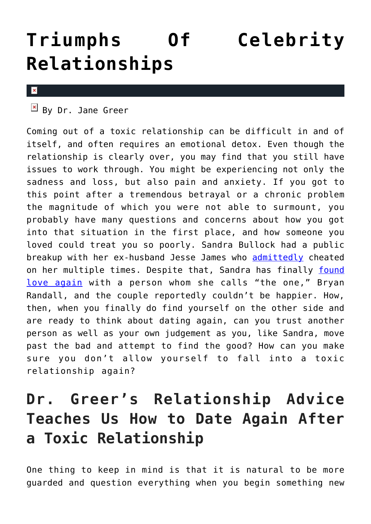# **[Triumphs Of Celebrity](https://cupidspulse.com/131445/relationship-advice-toxic-relationships/) [Relationships](https://cupidspulse.com/131445/relationship-advice-toxic-relationships/)**

#### $\mathbf x$

By Dr. Jane Green

Coming out of a toxic relationship can be difficult in and of itself, and often requires an emotional detox. Even though the relationship is clearly over, you may find that you still have issues to work through. You might be experiencing not only the sadness and loss, but also pain and anxiety. If you got to this point after a tremendous betrayal or a chronic problem the magnitude of which you were not able to surmount, you probably have many questions and concerns about how you got into that situation in the first place, and how someone you loved could treat you so poorly. Sandra Bullock had a public breakup with her ex-husband Jesse James who [admittedly](https://www.usmagazine.com/celebrity-news/news/jesse-james-reflects-on-sandra-bullock-divorce-his-cheating-scandal-w472100/) cheated on her multiple times. Despite that, Sandra has finally [found](https://www.usmagazine.com/celebrity-news/news/sandra-bullock-knows-boyfriend-bryan-randall-is-the-one/) [love again](https://www.usmagazine.com/celebrity-news/news/sandra-bullock-knows-boyfriend-bryan-randall-is-the-one/) with a person whom she calls "the one," Bryan Randall, and the couple reportedly couldn't be happier. How, then, when you finally do find yourself on the other side and are ready to think about dating again, can you trust another person as well as your own judgement as you, like Sandra, move past the bad and attempt to find the good? How can you make sure you don't allow yourself to fall into a toxic relationship again?

## **Dr. Greer's Relationship Advice Teaches Us How to Date Again After a Toxic Relationship**

One thing to keep in mind is that it is natural to be more guarded and question everything when you begin something new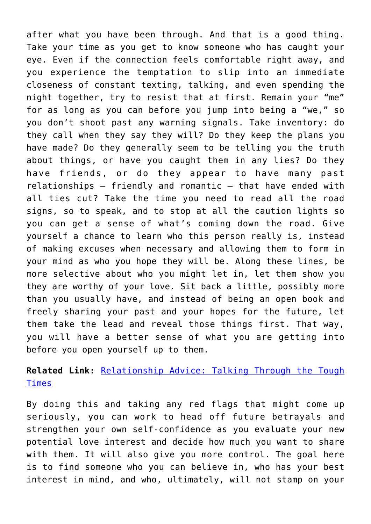after what you have been through. And that is a good thing. Take your time as you get to know someone who has caught your eye. Even if the connection feels comfortable right away, and you experience the temptation to slip into an immediate closeness of constant texting, talking, and even spending the night together, try to resist that at first. Remain your "me" for as long as you can before you jump into being a "we," so you don't shoot past any warning signals. Take inventory: do they call when they say they will? Do they keep the plans you have made? Do they generally seem to be telling you the truth about things, or have you caught them in any lies? Do they have friends, or do they appear to have many past relationships – friendly and romantic – that have ended with all ties cut? Take the time you need to read all the road signs, so to speak, and to stop at all the caution lights so you can get a sense of what's coming down the road. Give yourself a chance to learn who this person really is, instead of making excuses when necessary and allowing them to form in your mind as who you hope they will be. Along these lines, be more selective about who you might let in, let them show you they are worthy of your love. Sit back a little, possibly more than you usually have, and instead of being an open book and freely sharing your past and your hopes for the future, let them take the lead and reveal those things first. That way, you will have a better sense of what you are getting into before you open yourself up to them.

### **Related Link:** [Relationship Advice: Talking Through the Tough](http://cupidspulse.com/130306/relationship-advice-talking-through-tough-times/) [Times](http://cupidspulse.com/130306/relationship-advice-talking-through-tough-times/)

By doing this and taking any red flags that might come up seriously, you can work to head off future betrayals and strengthen your own self-confidence as you evaluate your new potential love interest and decide how much you want to share with them. It will also give you more control. The goal here is to find someone who you can believe in, who has your best interest in mind, and who, ultimately, will not stamp on your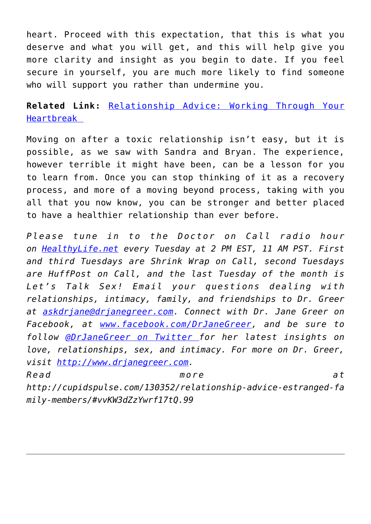heart. Proceed with this expectation, that this is what you deserve and what you will get, and this will help give you more clarity and insight as you begin to date. If you feel secure in yourself, you are much more likely to find someone who will support you rather than undermine you.

**Related Link:** [Relationship Advice: Working Through Your](http://cupidspulse.com/124049/relationship-advice-working-through-heartbreak-dr-jane-greer/) [Heartbreak](http://cupidspulse.com/124049/relationship-advice-working-through-heartbreak-dr-jane-greer/) 

Moving on after a toxic relationship isn't easy, but it is possible, as we saw with Sandra and Bryan. The experience, however terrible it might have been, can be a lesson for you to learn from. Once you can stop thinking of it as a recovery process, and more of a moving beyond process, taking with you all that you now know, you can be stronger and better placed to have a healthier relationship than ever before.

*Please tune in to the Doctor on Call radio hour on [HealthyLife.net](http://www.healthylife.net/) every Tuesday at 2 PM EST, 11 AM PST. First and third Tuesdays are Shrink Wrap on Call, second Tuesdays are HuffPost on Call, and the last Tuesday of the month is Let's Talk Sex! Email your questions dealing with relationships, intimacy, family, and friendships to Dr. Greer at [askdrjane@drjanegreer.com](mailto:askdrjane@drjanegreer.com). Connect with Dr. Jane Greer on Facebook, at [www.facebook.com/DrJaneGreer,](http://www.facebook.com/DrJaneGreer) and be sure to follow [@DrJaneGreer on Twitter f](https://twitter.com/#!/DrJaneGreer)or her latest insights on love, relationships, sex, and intimacy. For more on Dr. Greer, visit [http://www.drjanegreer.com.](http://www.drjanegreer.com/)*

*Read more at http://cupidspulse.com/130352/relationship-advice-estranged-fa mily-members/#vvKW3dZzYwrf17tQ.99*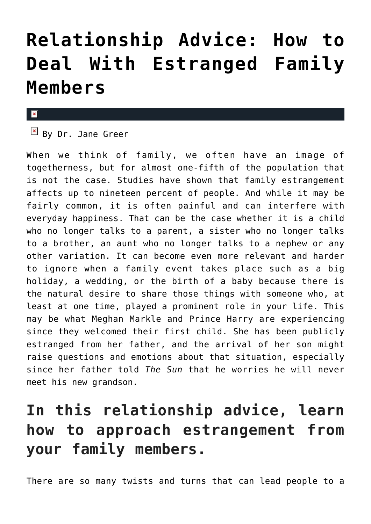# **[Relationship Advice: How to](https://cupidspulse.com/130352/relationship-advice-estranged-family-members/) [Deal With Estranged Family](https://cupidspulse.com/130352/relationship-advice-estranged-family-members/) [Members](https://cupidspulse.com/130352/relationship-advice-estranged-family-members/)**

#### $\mathbf{x}$

 $B$ y Dr. Jane Green

When we think of family, we often have an image of togetherness, but for almost one-fifth of the population that is not the case. Studies have shown that family estrangement affects up to nineteen percent of people. And while it may be fairly common, it is often painful and can interfere with everyday happiness. That can be the case whether it is a child who no longer talks to a parent, a sister who no longer talks to a brother, an aunt who no longer talks to a nephew or any other variation. It can become even more relevant and harder to ignore when a family event takes place such as a big holiday, a wedding, or the birth of a baby because there is the natural desire to share those things with someone who, at least at one time, played a prominent role in your life. This may be what Meghan Markle and Prince Harry are experiencing since they welcomed their first child. She has been publicly estranged from her father, and the arrival of her son might raise questions and emotions about that situation, especially since her father told *The Sun* that he worries he will never meet his new grandson.

## **In this relationship advice, learn how to approach estrangement from your family members.**

There are so many twists and turns that can lead people to a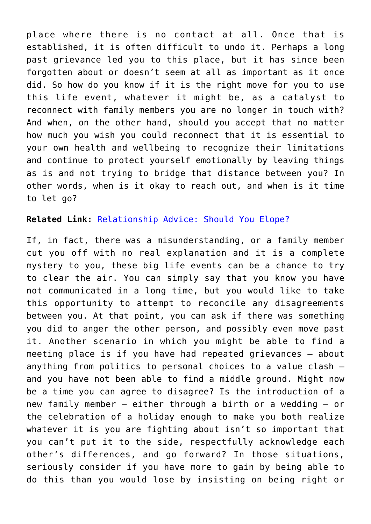place where there is no contact at all. Once that is established, it is often difficult to undo it. Perhaps a long past grievance led you to this place, but it has since been forgotten about or doesn't seem at all as important as it once did. So how do you know if it is the right move for you to use this life event, whatever it might be, as a catalyst to reconnect with family members you are no longer in touch with? And when, on the other hand, should you accept that no matter how much you wish you could reconnect that it is essential to your own health and wellbeing to recognize their limitations and continue to protect yourself emotionally by leaving things as is and not trying to bridge that distance between you? In other words, when is it okay to reach out, and when is it time to let go?

**Related Link:** [Relationship Advice: Should You Elope?](http://cupidspulse.com/128495/relationship-advice-elope/)

If, in fact, there was a misunderstanding, or a family member cut you off with no real explanation and it is a complete mystery to you, these big life events can be a chance to try to clear the air. You can simply say that you know you have not communicated in a long time, but you would like to take this opportunity to attempt to reconcile any disagreements between you. At that point, you can ask if there was something you did to anger the other person, and possibly even move past it. Another scenario in which you might be able to find a meeting place is if you have had repeated grievances – about anything from politics to personal choices to a value clash – and you have not been able to find a middle ground. Might now be a time you can agree to disagree? Is the introduction of a new family member – either through a birth or a wedding – or the celebration of a holiday enough to make you both realize whatever it is you are fighting about isn't so important that you can't put it to the side, respectfully acknowledge each other's differences, and go forward? In those situations, seriously consider if you have more to gain by being able to do this than you would lose by insisting on being right or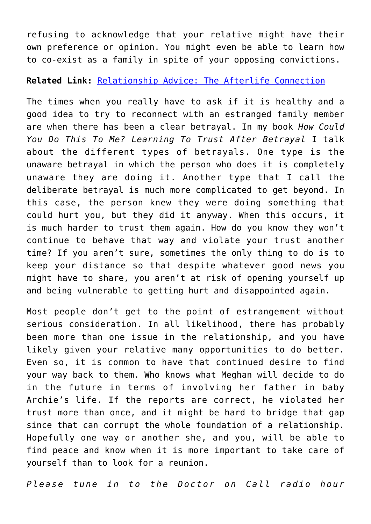refusing to acknowledge that your relative might have their own preference or opinion. You might even be able to learn how to co-exist as a family in spite of your opposing convictions.

#### **Related Link:** [Relationship Advice: The Afterlife Connection](http://cupidspulse.com/127045/relationship-advice-afterlife-connection-dr-jane-greer/)

The times when you really have to ask if it is healthy and a good idea to try to reconnect with an estranged family member are when there has been a clear betrayal. In my book *How Could You Do This To Me? Learning To Trust After Betrayal* I talk about the different types of betrayals. One type is the unaware betrayal in which the person who does it is completely unaware they are doing it. Another type that I call the deliberate betrayal is much more complicated to get beyond. In this case, the person knew they were doing something that could hurt you, but they did it anyway. When this occurs, it is much harder to trust them again. How do you know they won't continue to behave that way and violate your trust another time? If you aren't sure, sometimes the only thing to do is to keep your distance so that despite whatever good news you might have to share, you aren't at risk of opening yourself up and being vulnerable to getting hurt and disappointed again.

Most people don't get to the point of estrangement without serious consideration. In all likelihood, there has probably been more than one issue in the relationship, and you have likely given your relative many opportunities to do better. Even so, it is common to have that continued desire to find your way back to them. Who knows what Meghan will decide to do in the future in terms of involving her father in baby Archie's life. If the reports are correct, he violated her trust more than once, and it might be hard to bridge that gap since that can corrupt the whole foundation of a relationship. Hopefully one way or another she, and you, will be able to find peace and know when it is more important to take care of yourself than to look for a reunion.

*Please tune in to the Doctor on Call radio hour*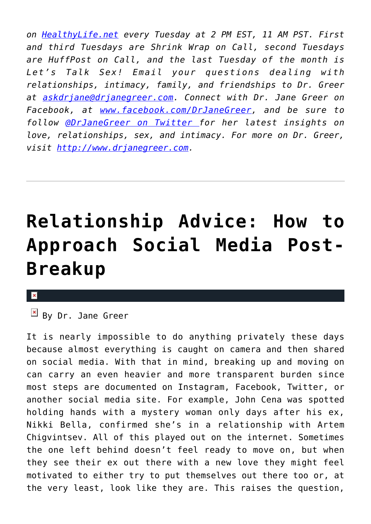*on [HealthyLife.net](http://www.healthylife.net/) every Tuesday at 2 PM EST, 11 AM PST. First and third Tuesdays are Shrink Wrap on Call, second Tuesdays are HuffPost on Call, and the last Tuesday of the month is Let's Talk Sex! Email your questions dealing with relationships, intimacy, family, and friendships to Dr. Greer at [askdrjane@drjanegreer.com](mailto:askdrjane@drjanegreer.com). Connect with Dr. Jane Greer on Facebook, at [www.facebook.com/DrJaneGreer,](http://www.facebook.com/DrJaneGreer) and be sure to follow [@DrJaneGreer on Twitter f](https://twitter.com/#!/DrJaneGreer)or her latest insights on love, relationships, sex, and intimacy. For more on Dr. Greer, visit [http://www.drjanegreer.com.](http://www.drjanegreer.com/)*

# **[Relationship Advice: How to](https://cupidspulse.com/130349/relationship-advice-social-media-after-break-up/) [Approach Social Media Post-](https://cupidspulse.com/130349/relationship-advice-social-media-after-break-up/)[Breakup](https://cupidspulse.com/130349/relationship-advice-social-media-after-break-up/)**

#### $\pmb{\times}$

 $\overline{B}$  By Dr. Jane Greer

It is nearly impossible to do anything privately these days because almost everything is caught on camera and then shared on social media. With that in mind, breaking up and moving on can carry an even heavier and more transparent burden since most steps are documented on Instagram, Facebook, Twitter, or another social media site. For example, John Cena was spotted holding hands with a mystery woman only days after his ex, Nikki Bella, confirmed she's in a relationship with Artem Chigvintsev. All of this played out on the internet. Sometimes the one left behind doesn't feel ready to move on, but when they see their ex out there with a new love they might feel motivated to either try to put themselves out there too or, at the very least, look like they are. This raises the question,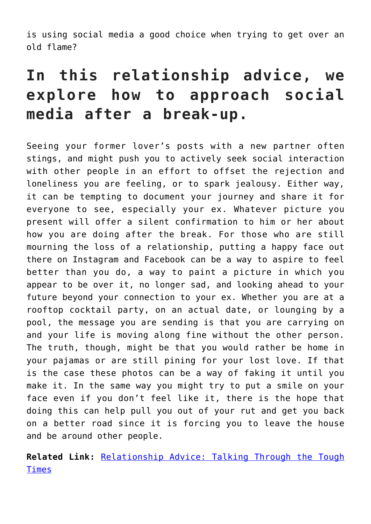is using social media a good choice when trying to get over an old flame?

## **In this relationship advice, we explore how to approach social media after a break-up.**

Seeing your former lover's posts with a new partner often stings, and might push you to actively seek social interaction with other people in an effort to offset the rejection and loneliness you are feeling, or to spark jealousy. Either way, it can be tempting to document your journey and share it for everyone to see, especially your ex. Whatever picture you present will offer a silent confirmation to him or her about how you are doing after the break. For those who are still mourning the loss of a relationship, putting a happy face out there on Instagram and Facebook can be a way to aspire to feel better than you do, a way to paint a picture in which you appear to be over it, no longer sad, and looking ahead to your future beyond your connection to your ex. Whether you are at a rooftop cocktail party, on an actual date, or lounging by a pool, the message you are sending is that you are carrying on and your life is moving along fine without the other person. The truth, though, might be that you would rather be home in your pajamas or are still pining for your lost love. If that is the case these photos can be a way of faking it until you make it. In the same way you might try to put a smile on your face even if you don't feel like it, there is the hope that doing this can help pull you out of your rut and get you back on a better road since it is forcing you to leave the house and be around other people.

**Related Link:** [Relationship Advice: Talking Through the Tough](http://cupidspulse.com/130306/relationship-advice-talking-through-tough-times/) [Times](http://cupidspulse.com/130306/relationship-advice-talking-through-tough-times/)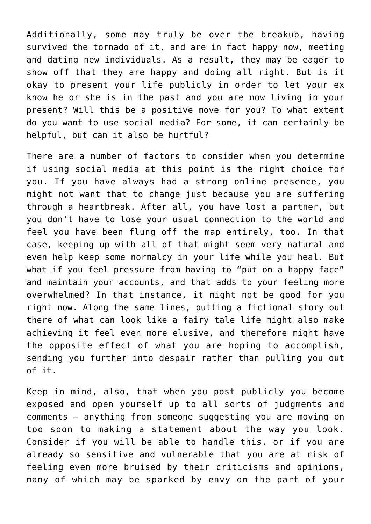Additionally, some may truly be over the breakup, having survived the tornado of it, and are in fact happy now, meeting and dating new individuals. As a result, they may be eager to show off that they are happy and doing all right. But is it okay to present your life publicly in order to let your ex know he or she is in the past and you are now living in your present? Will this be a positive move for you? To what extent do you want to use social media? For some, it can certainly be helpful, but can it also be hurtful?

There are a number of factors to consider when you determine if using social media at this point is the right choice for you. If you have always had a strong online presence, you might not want that to change just because you are suffering through a heartbreak. After all, you have lost a partner, but you don't have to lose your usual connection to the world and feel you have been flung off the map entirely, too. In that case, keeping up with all of that might seem very natural and even help keep some normalcy in your life while you heal. But what if you feel pressure from having to "put on a happy face" and maintain your accounts, and that adds to your feeling more overwhelmed? In that instance, it might not be good for you right now. Along the same lines, putting a fictional story out there of what can look like a fairy tale life might also make achieving it feel even more elusive, and therefore might have the opposite effect of what you are hoping to accomplish, sending you further into despair rather than pulling you out of it.

Keep in mind, also, that when you post publicly you become exposed and open yourself up to all sorts of judgments and comments – anything from someone suggesting you are moving on too soon to making a statement about the way you look. Consider if you will be able to handle this, or if you are already so sensitive and vulnerable that you are at risk of feeling even more bruised by their criticisms and opinions, many of which may be sparked by envy on the part of your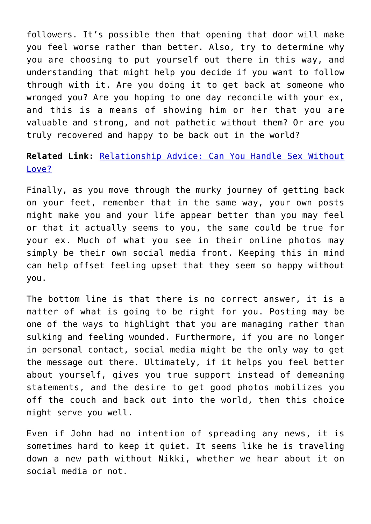followers. It's possible then that opening that door will make you feel worse rather than better. Also, try to determine why you are choosing to put yourself out there in this way, and understanding that might help you decide if you want to follow through with it. Are you doing it to get back at someone who wronged you? Are you hoping to one day reconcile with your ex, and this is a means of showing him or her that you are valuable and strong, and not pathetic without them? Or are you truly recovered and happy to be back out in the world?

### **Related Link:** [Relationship Advice: Can You Handle Sex Without](http://cupidspulse.com/129417/relationship-advice-dr-jane-greer-handle-sex-without-love/) [Love?](http://cupidspulse.com/129417/relationship-advice-dr-jane-greer-handle-sex-without-love/)

Finally, as you move through the murky journey of getting back on your feet, remember that in the same way, your own posts might make you and your life appear better than you may feel or that it actually seems to you, the same could be true for your ex. Much of what you see in their online photos may simply be their own social media front. Keeping this in mind can help offset feeling upset that they seem so happy without you.

The bottom line is that there is no correct answer, it is a matter of what is going to be right for you. Posting may be one of the ways to highlight that you are managing rather than sulking and feeling wounded. Furthermore, if you are no longer in personal contact, social media might be the only way to get the message out there. Ultimately, if it helps you feel better about yourself, gives you true support instead of demeaning statements, and the desire to get good photos mobilizes you off the couch and back out into the world, then this choice might serve you well.

Even if John had no intention of spreading any news, it is sometimes hard to keep it quiet. It seems like he is traveling down a new path without Nikki, whether we hear about it on social media or not.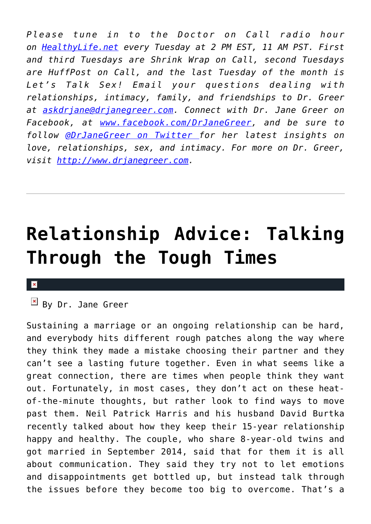*Please tune in to the Doctor on Call radio hour on [HealthyLife.net](http://www.healthylife.net/) every Tuesday at 2 PM EST, 11 AM PST. First and third Tuesdays are Shrink Wrap on Call, second Tuesdays are HuffPost on Call, and the last Tuesday of the month is Let's Talk Sex! Email your questions dealing with relationships, intimacy, family, and friendships to Dr. Greer at [askdrjane@drjanegreer.com](mailto:askdrjane@drjanegreer.com). Connect with Dr. Jane Greer on Facebook, at [www.facebook.com/DrJaneGreer,](http://www.facebook.com/DrJaneGreer) and be sure to follow [@DrJaneGreer on Twitter f](https://twitter.com/#!/DrJaneGreer)or her latest insights on love, relationships, sex, and intimacy. For more on Dr. Greer, visit [http://www.drjanegreer.com.](http://www.drjanegreer.com/)*

# **[Relationship Advice: Talking](https://cupidspulse.com/130306/relationship-advice-talking-through-tough-times/) [Through the Tough Times](https://cupidspulse.com/130306/relationship-advice-talking-through-tough-times/)**

#### $\vert \mathbf{x} \vert$

 $\mathbb{E}$  By Dr. Jane Greer

Sustaining a marriage or an ongoing relationship can be hard, and everybody hits different rough patches along the way where they think they made a mistake choosing their partner and they can't see a lasting future together. Even in what seems like a great connection, there are times when people think they want out. Fortunately, in most cases, they don't act on these heatof-the-minute thoughts, but rather look to find ways to move past them. Neil Patrick Harris and his husband David Burtka recently talked about how they keep their 15-year relationship happy and healthy. The couple, who share 8-year-old twins and got married in September 2014, said that for them it is all about communication. They said they try not to let emotions and disappointments get bottled up, but instead talk through the issues before they become too big to overcome. That's a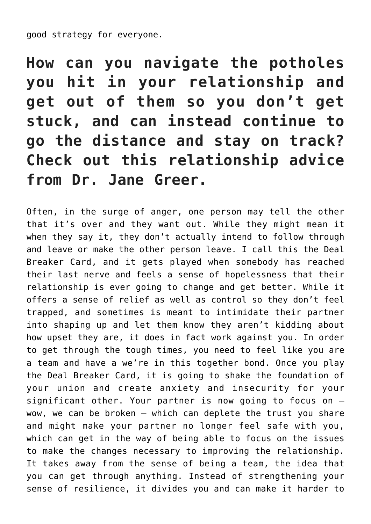good strategy for everyone.

**How can you navigate the potholes you hit in your relationship and get out of them so you don't get stuck, and can instead continue to go the distance and stay on track? Check out this relationship advice from Dr. Jane Greer.**

Often, in the surge of anger, one person may tell the other that it's over and they want out. While they might mean it when they say it, they don't actually intend to follow through and leave or make the other person leave. I call this the Deal Breaker Card, and it gets played when somebody has reached their last nerve and feels a sense of hopelessness that their relationship is ever going to change and get better. While it offers a sense of relief as well as control so they don't feel trapped, and sometimes is meant to intimidate their partner into shaping up and let them know they aren't kidding about how upset they are, it does in fact work against you. In order to get through the tough times, you need to feel like you are a team and have a we're in this together bond. Once you play the Deal Breaker Card, it is going to shake the foundation of your union and create anxiety and insecurity for your significant other. Your partner is now going to focus on – wow, we can be broken – which can deplete the trust you share and might make your partner no longer feel safe with you, which can get in the way of being able to focus on the issues to make the changes necessary to improving the relationship. It takes away from the sense of being a team, the idea that you can get through anything. Instead of strengthening your sense of resilience, it divides you and can make it harder to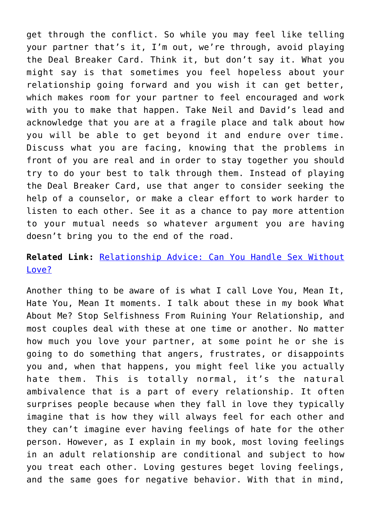get through the conflict. So while you may feel like telling your partner that's it, I'm out, we're through, avoid playing the Deal Breaker Card. Think it, but don't say it. What you might say is that sometimes you feel hopeless about your relationship going forward and you wish it can get better, which makes room for your partner to feel encouraged and work with you to make that happen. Take Neil and David's lead and acknowledge that you are at a fragile place and talk about how you will be able to get beyond it and endure over time. Discuss what you are facing, knowing that the problems in front of you are real and in order to stay together you should try to do your best to talk through them. Instead of playing the Deal Breaker Card, use that anger to consider seeking the help of a counselor, or make a clear effort to work harder to listen to each other. See it as a chance to pay more attention to your mutual needs so whatever argument you are having doesn't bring you to the end of the road.

### **Related Link:** [Relationship Advice: Can You Handle Sex Without](http://cupidspulse.com/129417/relationship-advice-dr-jane-greer-handle-sex-without-love/) [Love?](http://cupidspulse.com/129417/relationship-advice-dr-jane-greer-handle-sex-without-love/)

Another thing to be aware of is what I call Love You, Mean It, Hate You, Mean It moments. I talk about these in my book What About Me? Stop Selfishness From Ruining Your Relationship, and most couples deal with these at one time or another. No matter how much you love your partner, at some point he or she is going to do something that angers, frustrates, or disappoints you and, when that happens, you might feel like you actually hate them. This is totally normal, it's the natural ambivalence that is a part of every relationship. It often surprises people because when they fall in love they typically imagine that is how they will always feel for each other and they can't imagine ever having feelings of hate for the other person. However, as I explain in my book, most loving feelings in an adult relationship are conditional and subject to how you treat each other. Loving gestures beget loving feelings, and the same goes for negative behavior. With that in mind,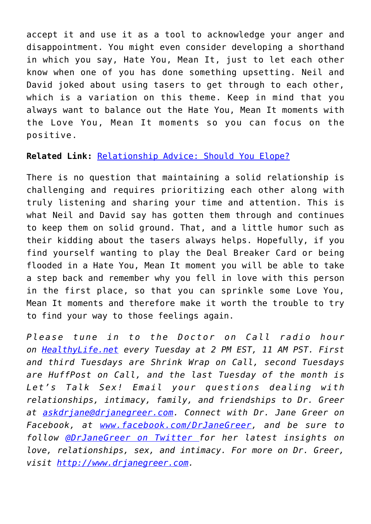accept it and use it as a tool to acknowledge your anger and disappointment. You might even consider developing a shorthand in which you say, Hate You, Mean It, just to let each other know when one of you has done something upsetting. Neil and David joked about using tasers to get through to each other, which is a variation on this theme. Keep in mind that you always want to balance out the Hate You, Mean It moments with the Love You, Mean It moments so you can focus on the positive.

#### **Related Link:** [Relationship Advice: Should You Elope?](http://cupidspulse.com/128495/relationship-advice-elope/)

There is no question that maintaining a solid relationship is challenging and requires prioritizing each other along with truly listening and sharing your time and attention. This is what Neil and David say has gotten them through and continues to keep them on solid ground. That, and a little humor such as their kidding about the tasers always helps. Hopefully, if you find yourself wanting to play the Deal Breaker Card or being flooded in a Hate You, Mean It moment you will be able to take a step back and remember why you fell in love with this person in the first place, so that you can sprinkle some Love You, Mean It moments and therefore make it worth the trouble to try to find your way to those feelings again.

*Please tune in to the Doctor on Call radio hour on [HealthyLife.net](http://www.healthylife.net/) every Tuesday at 2 PM EST, 11 AM PST. First and third Tuesdays are Shrink Wrap on Call, second Tuesdays are HuffPost on Call, and the last Tuesday of the month is Let's Talk Sex! Email your questions dealing with relationships, intimacy, family, and friendships to Dr. Greer at [askdrjane@drjanegreer.com](mailto:askdrjane@drjanegreer.com). Connect with Dr. Jane Greer on Facebook, at [www.facebook.com/DrJaneGreer,](http://www.facebook.com/DrJaneGreer) and be sure to follow [@DrJaneGreer on Twitter f](https://twitter.com/#!/DrJaneGreer)or her latest insights on love, relationships, sex, and intimacy. For more on Dr. Greer, visit [http://www.drjanegreer.com.](http://www.drjanegreer.com/)*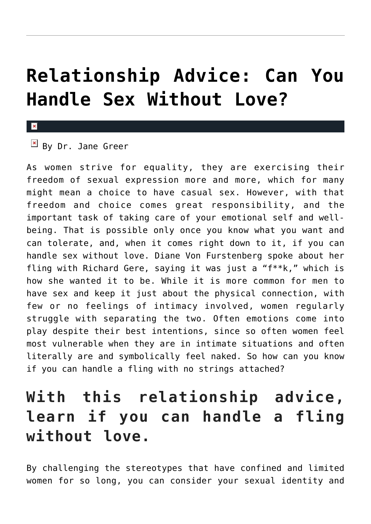## **[Relationship Advice: Can You](https://cupidspulse.com/129417/relationship-advice-dr-jane-greer-handle-sex-without-love/) [Handle Sex Without Love?](https://cupidspulse.com/129417/relationship-advice-dr-jane-greer-handle-sex-without-love/)**

#### x

 $\boxed{\times}$  By Dr. Jane Greer

As women strive for equality, they are exercising their freedom of sexual expression more and more, which for many might mean a choice to have casual sex. However, with that freedom and choice comes great responsibility, and the important task of taking care of your emotional self and wellbeing. That is possible only once you know what you want and can tolerate, and, when it comes right down to it, if you can handle sex without love. Diane Von Furstenberg spoke about her fling with Richard Gere, saying it was just a "f\*\*k," which is how she wanted it to be. While it is more common for men to have sex and keep it just about the physical connection, with few or no feelings of intimacy involved, women regularly struggle with separating the two. Often emotions come into play despite their best intentions, since so often women feel most vulnerable when they are in intimate situations and often literally are and symbolically feel naked. So how can you know if you can handle a fling with no strings attached?

### **With this relationship advice, learn if you can handle a fling without love.**

By challenging the stereotypes that have confined and limited women for so long, you can consider your sexual identity and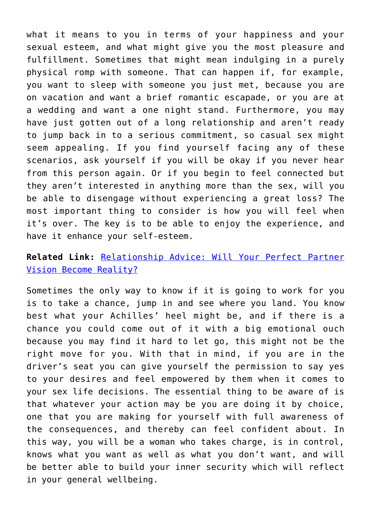what it means to you in terms of your happiness and your sexual esteem, and what might give you the most pleasure and fulfillment. Sometimes that might mean indulging in a purely physical romp with someone. That can happen if, for example, you want to sleep with someone you just met, because you are on vacation and want a brief romantic escapade, or you are at a wedding and want a one night stand. Furthermore, you may have just gotten out of a long relationship and aren't ready to jump back in to a serious commitment, so casual sex might seem appealing. If you find yourself facing any of these scenarios, ask yourself if you will be okay if you never hear from this person again. Or if you begin to feel connected but they aren't interested in anything more than the sex, will you be able to disengage without experiencing a great loss? The most important thing to consider is how you will feel when it's over. The key is to be able to enjoy the experience, and have it enhance your self-esteem.

### **Related Link:** [Relationship Advice: Will Your Perfect Partner](http://cupidspulse.com/126956/relationship-advice-perfect-partner-vision-become-reality/#more-126956) [Vision Become Reality?](http://cupidspulse.com/126956/relationship-advice-perfect-partner-vision-become-reality/#more-126956)

Sometimes the only way to know if it is going to work for you is to take a chance, jump in and see where you land. You know best what your Achilles' heel might be, and if there is a chance you could come out of it with a big emotional ouch because you may find it hard to let go, this might not be the right move for you. With that in mind, if you are in the driver's seat you can give yourself the permission to say yes to your desires and feel empowered by them when it comes to your sex life decisions. The essential thing to be aware of is that whatever your action may be you are doing it by choice, one that you are making for yourself with full awareness of the consequences, and thereby can feel confident about. In this way, you will be a woman who takes charge, is in control, knows what you want as well as what you don't want, and will be better able to build your inner security which will reflect in your general wellbeing.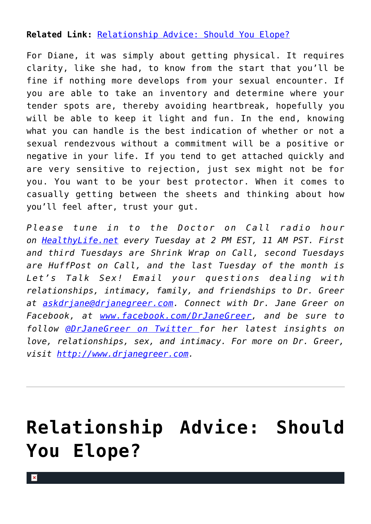#### **Related Link:** [Relationship Advice: Should You Elope?](http://cupidspulse.com/128495/relationship-advice-elope/#more-128495)

For Diane, it was simply about getting physical. It requires clarity, like she had, to know from the start that you'll be fine if nothing more develops from your sexual encounter. If you are able to take an inventory and determine where your tender spots are, thereby avoiding heartbreak, hopefully you will be able to keep it light and fun. In the end, knowing what you can handle is the best indication of whether or not a sexual rendezvous without a commitment will be a positive or negative in your life. If you tend to get attached quickly and are very sensitive to rejection, just sex might not be for you. You want to be your best protector. When it comes to casually getting between the sheets and thinking about how you'll feel after, trust your gut.

*Please tune in to the Doctor on Call radio hour on [HealthyLife.net](http://www.healthylife.net/) every Tuesday at 2 PM EST, 11 AM PST. First and third Tuesdays are Shrink Wrap on Call, second Tuesdays are HuffPost on Call, and the last Tuesday of the month is Let's Talk Sex! Email your questions dealing with relationships, intimacy, family, and friendships to Dr. Greer at [askdrjane@drjanegreer.com](mailto:askdrjane@drjanegreer.com). Connect with Dr. Jane Greer on Facebook, at [www.facebook.com/DrJaneGreer,](http://www.facebook.com/DrJaneGreer) and be sure to follow [@DrJaneGreer on Twitter f](https://twitter.com/#!/DrJaneGreer)or her latest insights on love, relationships, sex, and intimacy. For more on Dr. Greer, visit [http://www.drjanegreer.com.](http://www.drjanegreer.com/)*

# **[Relationship Advice: Should](https://cupidspulse.com/128495/relationship-advice-elope/) [You Elope?](https://cupidspulse.com/128495/relationship-advice-elope/)**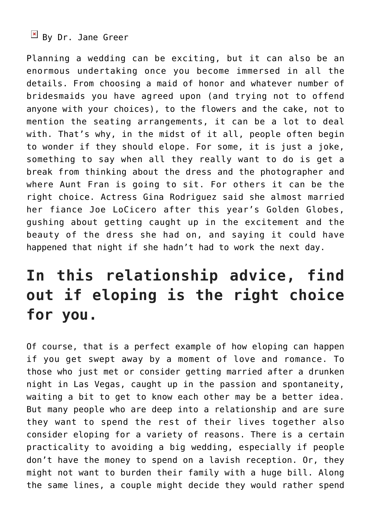### $\overline{B}$  By Dr. Jane Greer

Planning a wedding can be exciting, but it can also be an enormous undertaking once you become immersed in all the details. From choosing a maid of honor and whatever number of bridesmaids you have agreed upon (and trying not to offend anyone with your choices), to the flowers and the cake, not to mention the seating arrangements, it can be a lot to deal with. That's why, in the midst of it all, people often begin to wonder if they should elope. For some, it is just a joke, something to say when all they really want to do is get a break from thinking about the dress and the photographer and where Aunt Fran is going to sit. For others it can be the right choice. Actress Gina Rodriguez said she almost married her fiance Joe LoCicero after this year's Golden Globes, gushing about getting caught up in the excitement and the beauty of the dress she had on, and saying it could have happened that night if she hadn't had to work the next day.

## **In this relationship advice, find out if eloping is the right choice for you.**

Of course, that is a perfect example of how eloping can happen if you get swept away by a moment of love and romance. To those who just met or consider getting married after a drunken night in Las Vegas, caught up in the passion and spontaneity, waiting a bit to get to know each other may be a better idea. But many people who are deep into a relationship and are sure they want to spend the rest of their lives together also consider eloping for a variety of reasons. There is a certain practicality to avoiding a big wedding, especially if people don't have the money to spend on a lavish reception. Or, they might not want to burden their family with a huge bill. Along the same lines, a couple might decide they would rather spend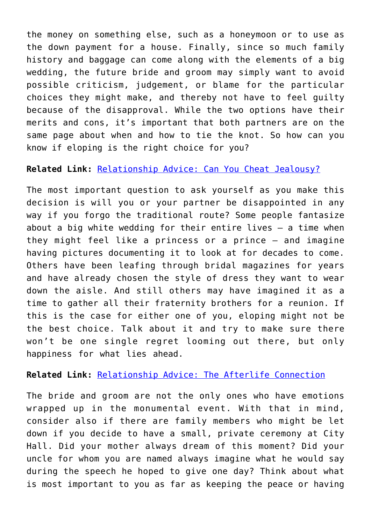the money on something else, such as a honeymoon or to use as the down payment for a house. Finally, since so much family history and baggage can come along with the elements of a big wedding, the future bride and groom may simply want to avoid possible criticism, judgement, or blame for the particular choices they might make, and thereby not have to feel guilty because of the disapproval. While the two options have their merits and cons, it's important that both partners are on the same page about when and how to tie the knot. So how can you know if eloping is the right choice for you?

#### **Related Link:** [Relationship Advice: Can You Cheat Jealousy?](http://cupidspulse.com/116711/relationship-advice-cheat-jealousy-dr-jane-greer/)

The most important question to ask yourself as you make this decision is will you or your partner be disappointed in any way if you forgo the traditional route? Some people fantasize about a big white wedding for their entire lives – a time when they might feel like a princess or a prince – and imagine having pictures documenting it to look at for decades to come. Others have been leafing through bridal magazines for years and have already chosen the style of dress they want to wear down the aisle. And still others may have imagined it as a time to gather all their fraternity brothers for a reunion. If this is the case for either one of you, eloping might not be the best choice. Talk about it and try to make sure there won't be one single regret looming out there, but only happiness for what lies ahead.

#### **Related Link:** [Relationship Advice: The Afterlife Connection](http://cupidspulse.com/127045/relationship-advice-afterlife-connection-dr-jane-greer/)

The bride and groom are not the only ones who have emotions wrapped up in the monumental event. With that in mind, consider also if there are family members who might be let down if you decide to have a small, private ceremony at City Hall. Did your mother always dream of this moment? Did your uncle for whom you are named always imagine what he would say during the speech he hoped to give one day? Think about what is most important to you as far as keeping the peace or having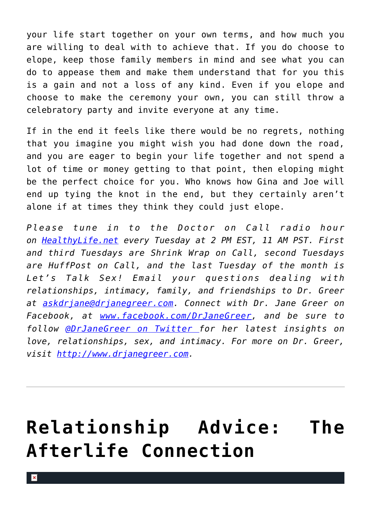your life start together on your own terms, and how much you are willing to deal with to achieve that. If you do choose to elope, keep those family members in mind and see what you can do to appease them and make them understand that for you this is a gain and not a loss of any kind. Even if you elope and choose to make the ceremony your own, you can still throw a celebratory party and invite everyone at any time.

If in the end it feels like there would be no regrets, nothing that you imagine you might wish you had done down the road, and you are eager to begin your life together and not spend a lot of time or money getting to that point, then eloping might be the perfect choice for you. Who knows how Gina and Joe will end up tying the knot in the end, but they certainly aren't alone if at times they think they could just elope.

*Please tune in to the Doctor on Call radio hour on [HealthyLife.net](http://www.healthylife.net/) every Tuesday at 2 PM EST, 11 AM PST. First and third Tuesdays are Shrink Wrap on Call, second Tuesdays are HuffPost on Call, and the last Tuesday of the month is Let's Talk Sex! Email your questions dealing with relationships, intimacy, family, and friendships to Dr. Greer at [askdrjane@drjanegreer.com](mailto:askdrjane@drjanegreer.com). Connect with Dr. Jane Greer on Facebook, at [www.facebook.com/DrJaneGreer,](http://www.facebook.com/DrJaneGreer) and be sure to follow [@DrJaneGreer on Twitter f](https://twitter.com/#!/DrJaneGreer)or her latest insights on love, relationships, sex, and intimacy. For more on Dr. Greer, visit [http://www.drjanegreer.com.](http://www.drjanegreer.com/)*

# **[Relationship Advice: The](https://cupidspulse.com/127045/relationship-advice-afterlife-connection-dr-jane-greer/) [Afterlife Connection](https://cupidspulse.com/127045/relationship-advice-afterlife-connection-dr-jane-greer/)**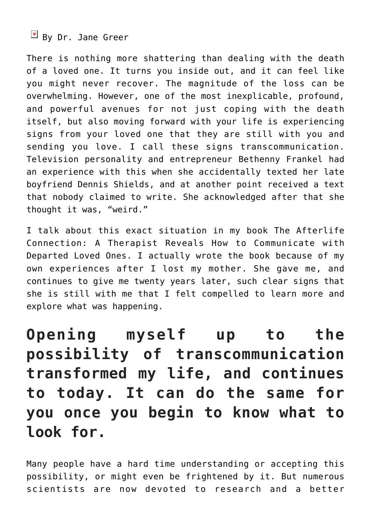$\overline{B}$  By Dr. Jane Greer

There is nothing more shattering than dealing with the death of a loved one. It turns you inside out, and it can feel like you might never recover. The magnitude of the loss can be overwhelming. However, one of the most inexplicable, profound, and powerful avenues for not just coping with the death itself, but also moving forward with your life is experiencing signs from your loved one that they are still with you and sending you love. I call these signs transcommunication. Television personality and entrepreneur Bethenny Frankel had an experience with this when she accidentally texted her late boyfriend Dennis Shields, and at another point received a text that nobody claimed to write. She acknowledged after that she thought it was, "weird."

I talk about this exact situation in my book The Afterlife Connection: A Therapist Reveals How to Communicate with Departed Loved Ones. I actually wrote the book because of my own experiences after I lost my mother. She gave me, and continues to give me twenty years later, such clear signs that she is still with me that I felt compelled to learn more and explore what was happening.

**Opening myself up to the possibility of transcommunication transformed my life, and continues to today. It can do the same for you once you begin to know what to look for.**

Many people have a hard time understanding or accepting this possibility, or might even be frightened by it. But numerous scientists are now devoted to research and a better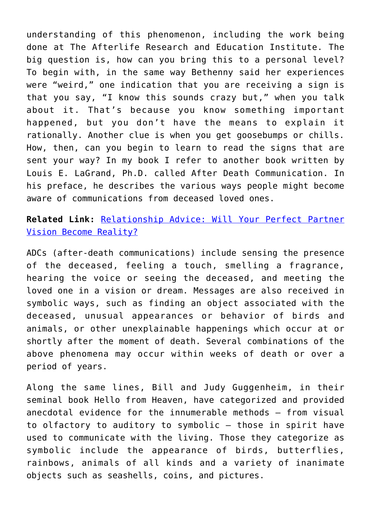understanding of this phenomenon, including the work being done at The Afterlife Research and Education Institute. The big question is, how can you bring this to a personal level? To begin with, in the same way Bethenny said her experiences were "weird," one indication that you are receiving a sign is that you say, "I know this sounds crazy but," when you talk about it. That's because you know something important happened, but you don't have the means to explain it rationally. Another clue is when you get goosebumps or chills. How, then, can you begin to learn to read the signs that are sent your way? In my book I refer to another book written by Louis E. LaGrand, Ph.D. called After Death Communication. In his preface, he describes the various ways people might become aware of communications from deceased loved ones.

**Related Link:** [Relationship Advice: Will Your Perfect Partner](http://cupidspulse.com/126956/relationship-advice-perfect-partner-vision-become-reality/) [Vision Become Reality?](http://cupidspulse.com/126956/relationship-advice-perfect-partner-vision-become-reality/)

ADCs (after-death communications) include sensing the presence of the deceased, feeling a touch, smelling a fragrance, hearing the voice or seeing the deceased, and meeting the loved one in a vision or dream. Messages are also received in symbolic ways, such as finding an object associated with the deceased, unusual appearances or behavior of birds and animals, or other unexplainable happenings which occur at or shortly after the moment of death. Several combinations of the above phenomena may occur within weeks of death or over a period of years.

Along the same lines, Bill and Judy Guggenheim, in their seminal book Hello from Heaven, have categorized and provided anecdotal evidence for the innumerable methods – from visual to olfactory to auditory to symbolic – those in spirit have used to communicate with the living. Those they categorize as symbolic include the appearance of birds, butterflies, rainbows, animals of all kinds and a variety of inanimate objects such as seashells, coins, and pictures.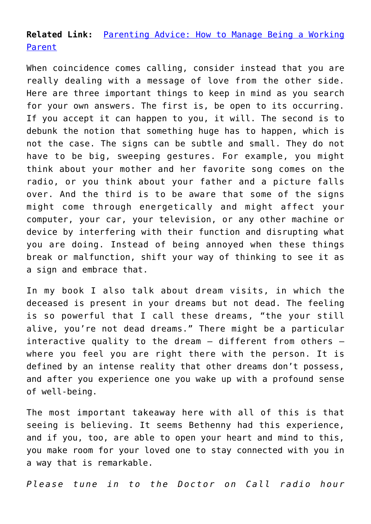### **Related Link:** [Parenting Advice: How to Manage Being a Working](http://cupidspulse.com/126845/parenting-advice-working-parents-dr-jane-greer/) [Parent](http://cupidspulse.com/126845/parenting-advice-working-parents-dr-jane-greer/)

When coincidence comes calling, consider instead that you are really dealing with a message of love from the other side. Here are three important things to keep in mind as you search for your own answers. The first is, be open to its occurring. If you accept it can happen to you, it will. The second is to debunk the notion that something huge has to happen, which is not the case. The signs can be subtle and small. They do not have to be big, sweeping gestures. For example, you might think about your mother and her favorite song comes on the radio, or you think about your father and a picture falls over. And the third is to be aware that some of the signs might come through energetically and might affect your computer, your car, your television, or any other machine or device by interfering with their function and disrupting what you are doing. Instead of being annoyed when these things break or malfunction, shift your way of thinking to see it as a sign and embrace that.

In my book I also talk about dream visits, in which the deceased is present in your dreams but not dead. The feeling is so powerful that I call these dreams, "the your still alive, you're not dead dreams." There might be a particular interactive quality to the dream – different from others – where you feel you are right there with the person. It is defined by an intense reality that other dreams don't possess, and after you experience one you wake up with a profound sense of well-being.

The most important takeaway here with all of this is that seeing is believing. It seems Bethenny had this experience, and if you, too, are able to open your heart and mind to this, you make room for your loved one to stay connected with you in a way that is remarkable.

*Please tune in to the Doctor on Call radio hour*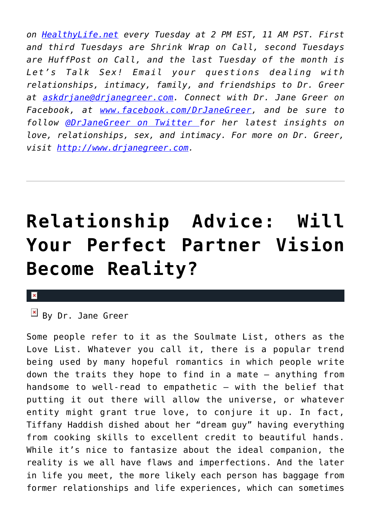*on [HealthyLife.net](http://www.healthylife.net/) every Tuesday at 2 PM EST, 11 AM PST. First and third Tuesdays are Shrink Wrap on Call, second Tuesdays are HuffPost on Call, and the last Tuesday of the month is Let's Talk Sex! Email your questions dealing with relationships, intimacy, family, and friendships to Dr. Greer at [askdrjane@drjanegreer.com](mailto:askdrjane@drjanegreer.com). Connect with Dr. Jane Greer on Facebook, at [www.facebook.com/DrJaneGreer,](http://www.facebook.com/DrJaneGreer) and be sure to follow [@DrJaneGreer on Twitter f](https://twitter.com/#!/DrJaneGreer)or her latest insights on love, relationships, sex, and intimacy. For more on Dr. Greer, visit [http://www.drjanegreer.com.](http://www.drjanegreer.com/)*

# **[Relationship Advice: Will](https://cupidspulse.com/126956/relationship-advice-perfect-partner-vision-become-reality/) [Your Perfect Partner Vision](https://cupidspulse.com/126956/relationship-advice-perfect-partner-vision-become-reality/) [Become Reality?](https://cupidspulse.com/126956/relationship-advice-perfect-partner-vision-become-reality/)**

### $\pmb{\times}$

 $\overline{B}$  By Dr. Jane Greer

Some people refer to it as the Soulmate List, others as the Love List. Whatever you call it, there is a popular trend being used by many hopeful romantics in which people write down the traits they hope to find in a mate – anything from handsome to well-read to empathetic – with the belief that putting it out there will allow the universe, or whatever entity might grant true love, to conjure it up. In fact, Tiffany Haddish dished about her "dream guy" having everything from cooking skills to excellent credit to beautiful hands. While it's nice to fantasize about the ideal companion, the reality is we all have flaws and imperfections. And the later in life you meet, the more likely each person has baggage from former relationships and life experiences, which can sometimes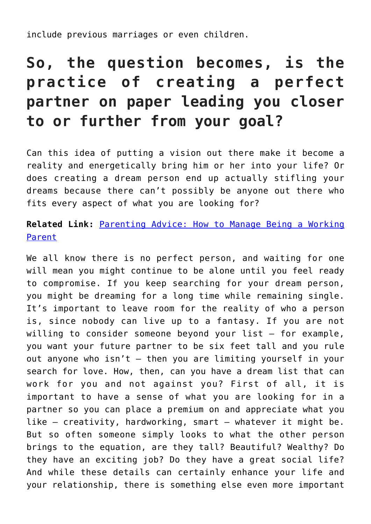include previous marriages or even children.

## **So, the question becomes, is the practice of creating a perfect partner on paper leading you closer to or further from your goal?**

Can this idea of putting a vision out there make it become a reality and energetically bring him or her into your life? Or does creating a dream person end up actually stifling your dreams because there can't possibly be anyone out there who fits every aspect of what you are looking for?

### **Related Link:** [Parenting Advice: How to Manage Being a Working](http://cupidspulse.com/126845/parenting-advice-working-parents-dr-jane-greer/) [Parent](http://cupidspulse.com/126845/parenting-advice-working-parents-dr-jane-greer/)

We all know there is no perfect person, and waiting for one will mean you might continue to be alone until you feel ready to compromise. If you keep searching for your dream person, you might be dreaming for a long time while remaining single. It's important to leave room for the reality of who a person is, since nobody can live up to a fantasy. If you are not willing to consider someone beyond your list – for example, you want your future partner to be six feet tall and you rule out anyone who isn't – then you are limiting yourself in your search for love. How, then, can you have a dream list that can work for you and not against you? First of all, it is important to have a sense of what you are looking for in a partner so you can place a premium on and appreciate what you like – creativity, hardworking, smart – whatever it might be. But so often someone simply looks to what the other person brings to the equation, are they tall? Beautiful? Wealthy? Do they have an exciting job? Do they have a great social life? And while these details can certainly enhance your life and your relationship, there is something else even more important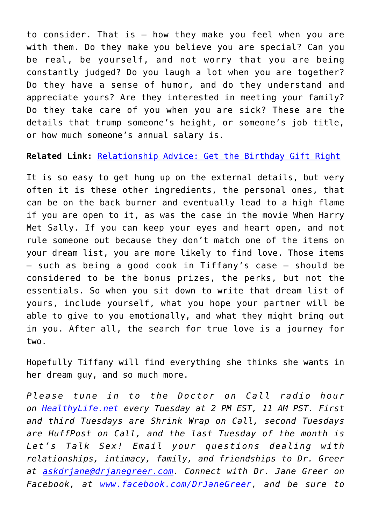to consider. That is – how they make you feel when you are with them. Do they make you believe you are special? Can you be real, be yourself, and not worry that you are being constantly judged? Do you laugh a lot when you are together? Do they have a sense of humor, and do they understand and appreciate yours? Are they interested in meeting your family? Do they take care of you when you are sick? These are the details that trump someone's height, or someone's job title, or how much someone's annual salary is.

### **Related Link:** [Relationship Advice: Get the Birthday Gift Right](http://cupidspulse.com/126713/relationship-advice-get-birthday-gift-right/)

It is so easy to get hung up on the external details, but very often it is these other ingredients, the personal ones, that can be on the back burner and eventually lead to a high flame if you are open to it, as was the case in the movie When Harry Met Sally. If you can keep your eyes and heart open, and not rule someone out because they don't match one of the items on your dream list, you are more likely to find love. Those items – such as being a good cook in Tiffany's case – should be considered to be the bonus prizes, the perks, but not the essentials. So when you sit down to write that dream list of yours, include yourself, what you hope your partner will be able to give to you emotionally, and what they might bring out in you. After all, the search for true love is a journey for two.

Hopefully Tiffany will find everything she thinks she wants in her dream guy, and so much more.

*Please tune in to the Doctor on Call radio hour on [HealthyLife.net](http://www.healthylife.net/) every Tuesday at 2 PM EST, 11 AM PST. First and third Tuesdays are Shrink Wrap on Call, second Tuesdays are HuffPost on Call, and the last Tuesday of the month is Let's Talk Sex! Email your questions dealing with relationships, intimacy, family, and friendships to Dr. Greer at [askdrjane@drjanegreer.com](mailto:askdrjane@drjanegreer.com). Connect with Dr. Jane Greer on Facebook, at [www.facebook.com/DrJaneGreer,](http://www.facebook.com/DrJaneGreer) and be sure to*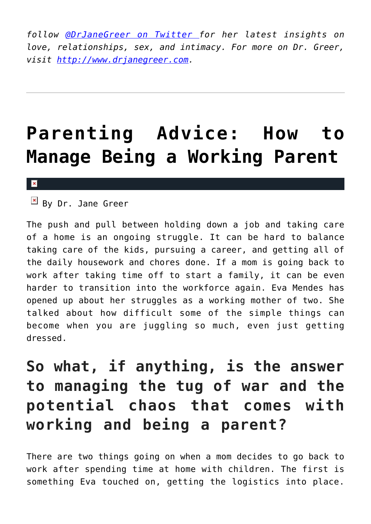*follow [@DrJaneGreer on Twitter f](https://twitter.com/#!/DrJaneGreer)or her latest insights on love, relationships, sex, and intimacy. For more on Dr. Greer, visit [http://www.drjanegreer.com.](http://www.drjanegreer.com/)*

## **[Parenting Advice: How to](https://cupidspulse.com/126845/parenting-advice-working-parents-dr-jane-greer/) [Manage Being a Working Parent](https://cupidspulse.com/126845/parenting-advice-working-parents-dr-jane-greer/)**

 $\overline{B}$  By Dr. Jane Greer

The push and pull between holding down a job and taking care of a home is an ongoing struggle. It can be hard to balance taking care of the kids, pursuing a career, and getting all of the daily housework and chores done. If a mom is going back to work after taking time off to start a family, it can be even harder to transition into the workforce again. Eva Mendes has opened up about her struggles as a working mother of two. She talked about how difficult some of the simple things can become when you are juggling so much, even just getting dressed.

## **So what, if anything, is the answer to managing the tug of war and the potential chaos that comes with working and being a parent?**

There are two things going on when a mom decides to go back to work after spending time at home with children. The first is something Eva touched on, getting the logistics into place.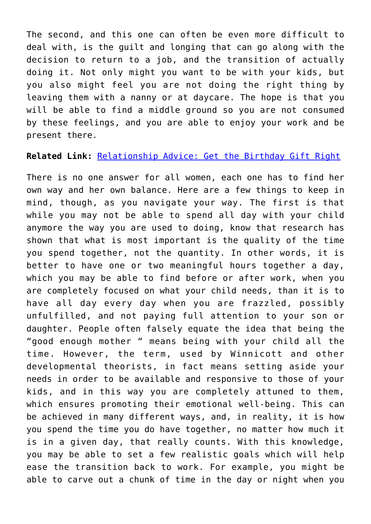The second, and this one can often be even more difficult to deal with, is the guilt and longing that can go along with the decision to return to a job, and the transition of actually doing it. Not only might you want to be with your kids, but you also might feel you are not doing the right thing by leaving them with a nanny or at daycare. The hope is that you will be able to find a middle ground so you are not consumed by these feelings, and you are able to enjoy your work and be present there.

#### **Related Link:** [Relationship Advice: Get the Birthday Gift Right](http://cupidspulse.com/126713/relationship-advice-get-birthday-gift-right/)

There is no one answer for all women, each one has to find her own way and her own balance. Here are a few things to keep in mind, though, as you navigate your way. The first is that while you may not be able to spend all day with your child anymore the way you are used to doing, know that research has shown that what is most important is the quality of the time you spend together, not the quantity. In other words, it is better to have one or two meaningful hours together a day, which you may be able to find before or after work, when you are completely focused on what your child needs, than it is to have all day every day when you are frazzled, possibly unfulfilled, and not paying full attention to your son or daughter. People often falsely equate the idea that being the "good enough mother " means being with your child all the time. However, the term, used by Winnicott and other developmental theorists, in fact means setting aside your needs in order to be available and responsive to those of your kids, and in this way you are completely attuned to them, which ensures promoting their emotional well-being. This can be achieved in many different ways, and, in reality, it is how you spend the time you do have together, no matter how much it is in a given day, that really counts. With this knowledge, you may be able to set a few realistic goals which will help ease the transition back to work. For example, you might be able to carve out a chunk of time in the day or night when you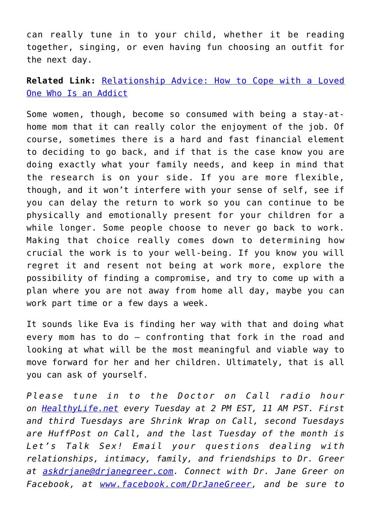can really tune in to your child, whether it be reading together, singing, or even having fun choosing an outfit for the next day.

**Related Link:** [Relationship Advice: How to Cope with a Loved](http://cupidspulse.com/126648/relationship-advice-cope-addicted-loved-one-dr-jane-greer/) [One Who Is an Addict](http://cupidspulse.com/126648/relationship-advice-cope-addicted-loved-one-dr-jane-greer/)

Some women, though, become so consumed with being a stay-athome mom that it can really color the enjoyment of the job. Of course, sometimes there is a hard and fast financial element to deciding to go back, and if that is the case know you are doing exactly what your family needs, and keep in mind that the research is on your side. If you are more flexible, though, and it won't interfere with your sense of self, see if you can delay the return to work so you can continue to be physically and emotionally present for your children for a while longer. Some people choose to never go back to work. Making that choice really comes down to determining how crucial the work is to your well-being. If you know you will regret it and resent not being at work more, explore the possibility of finding a compromise, and try to come up with a plan where you are not away from home all day, maybe you can work part time or a few days a week.

It sounds like Eva is finding her way with that and doing what every mom has to do – confronting that fork in the road and looking at what will be the most meaningful and viable way to move forward for her and her children. Ultimately, that is all you can ask of yourself.

*Please tune in to the Doctor on Call radio hour on [HealthyLife.net](http://www.healthylife.net/) every Tuesday at 2 PM EST, 11 AM PST. First and third Tuesdays are Shrink Wrap on Call, second Tuesdays are HuffPost on Call, and the last Tuesday of the month is Let's Talk Sex! Email your questions dealing with relationships, intimacy, family, and friendships to Dr. Greer at [askdrjane@drjanegreer.com](mailto:askdrjane@drjanegreer.com). Connect with Dr. Jane Greer on Facebook, at [www.facebook.com/DrJaneGreer,](http://www.facebook.com/DrJaneGreer) and be sure to*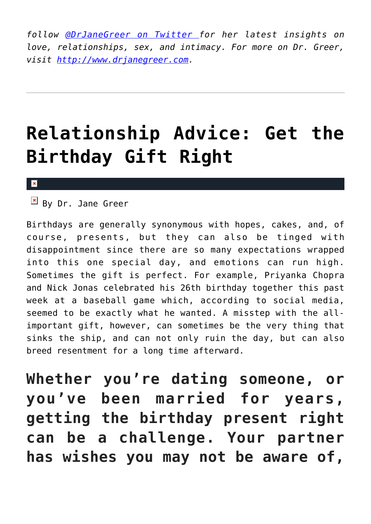*follow [@DrJaneGreer on Twitter f](https://twitter.com/#!/DrJaneGreer)or her latest insights on love, relationships, sex, and intimacy. For more on Dr. Greer, visit [http://www.drjanegreer.com.](http://www.drjanegreer.com/)*

## **[Relationship Advice: Get the](https://cupidspulse.com/126713/relationship-advice-get-birthday-gift-right/) [Birthday Gift Right](https://cupidspulse.com/126713/relationship-advice-get-birthday-gift-right/)**

 $\overline{B}$  By Dr. Jane Greer

Birthdays are generally synonymous with hopes, cakes, and, of course, presents, but they can also be tinged with disappointment since there are so many expectations wrapped into this one special day, and emotions can run high. Sometimes the gift is perfect. For example, Priyanka Chopra and Nick Jonas celebrated his 26th birthday together this past week at a baseball game which, according to social media, seemed to be exactly what he wanted. A misstep with the allimportant gift, however, can sometimes be the very thing that sinks the ship, and can not only ruin the day, but can also breed resentment for a long time afterward.

**Whether you're dating someone, or you've been married for years, getting the birthday present right can be a challenge. Your partner has wishes you may not be aware of,**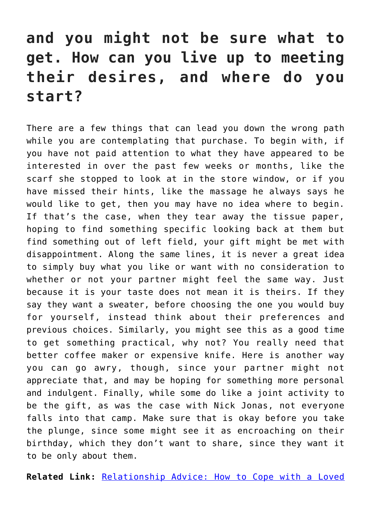### **and you might not be sure what to get. How can you live up to meeting their desires, and where do you start?**

There are a few things that can lead you down the wrong path while you are contemplating that purchase. To begin with, if you have not paid attention to what they have appeared to be interested in over the past few weeks or months, like the scarf she stopped to look at in the store window, or if you have missed their hints, like the massage he always says he would like to get, then you may have no idea where to begin. If that's the case, when they tear away the tissue paper, hoping to find something specific looking back at them but find something out of left field, your gift might be met with disappointment. Along the same lines, it is never a great idea to simply buy what you like or want with no consideration to whether or not your partner might feel the same way. Just because it is your taste does not mean it is theirs. If they say they want a sweater, before choosing the one you would buy for yourself, instead think about their preferences and previous choices. Similarly, you might see this as a good time to get something practical, why not? You really need that better coffee maker or expensive knife. Here is another way you can go awry, though, since your partner might not appreciate that, and may be hoping for something more personal and indulgent. Finally, while some do like a joint activity to be the gift, as was the case with Nick Jonas, not everyone falls into that camp. Make sure that is okay before you take the plunge, since some might see it as encroaching on their birthday, which they don't want to share, since they want it to be only about them.

**Related Link:** [Relationship Advice: How to Cope with a Loved](http://cupidspulse.com/126648/relationship-advice-cope-addicted-loved-one-dr-jane-greer/#more-126648)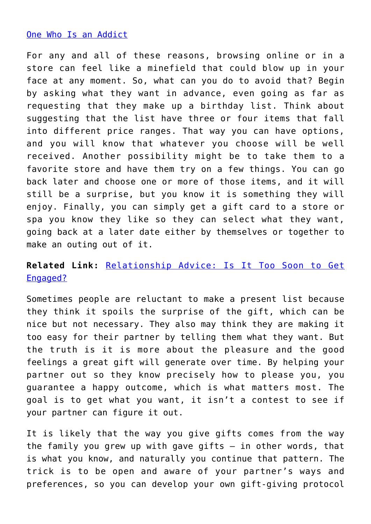#### [One Who Is an Addict](http://cupidspulse.com/126648/relationship-advice-cope-addicted-loved-one-dr-jane-greer/#more-126648)

For any and all of these reasons, browsing online or in a store can feel like a minefield that could blow up in your face at any moment. So, what can you do to avoid that? Begin by asking what they want in advance, even going as far as requesting that they make up a birthday list. Think about suggesting that the list have three or four items that fall into different price ranges. That way you can have options, and you will know that whatever you choose will be well received. Another possibility might be to take them to a favorite store and have them try on a few things. You can go back later and choose one or more of those items, and it will still be a surprise, but you know it is something they will enjoy. Finally, you can simply get a gift card to a store or spa you know they like so they can select what they want, going back at a later date either by themselves or together to make an outing out of it.

### **Related Link:** [Relationship Advice: Is It Too Soon to Get](http://cupidspulse.com/126033/relationship-advice-too-soon-get-engaged/#more-126033) [Engaged?](http://cupidspulse.com/126033/relationship-advice-too-soon-get-engaged/#more-126033)

Sometimes people are reluctant to make a present list because they think it spoils the surprise of the gift, which can be nice but not necessary. They also may think they are making it too easy for their partner by telling them what they want. But the truth is it is more about the pleasure and the good feelings a great gift will generate over time. By helping your partner out so they know precisely how to please you, you guarantee a happy outcome, which is what matters most. The goal is to get what you want, it isn't a contest to see if your partner can figure it out.

It is likely that the way you give gifts comes from the way the family you grew up with gave gifts – in other words, that is what you know, and naturally you continue that pattern. The trick is to be open and aware of your partner's ways and preferences, so you can develop your own gift-giving protocol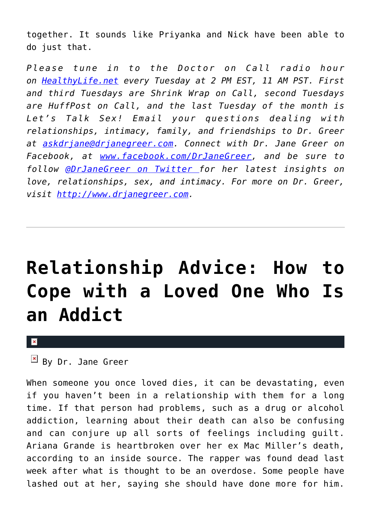together. It sounds like Priyanka and Nick have been able to do just that.

*Please tune in to the Doctor on Call radio hour on [HealthyLife.net](http://www.healthylife.net/) every Tuesday at 2 PM EST, 11 AM PST. First and third Tuesdays are Shrink Wrap on Call, second Tuesdays are HuffPost on Call, and the last Tuesday of the month is Let's Talk Sex! Email your questions dealing with relationships, intimacy, family, and friendships to Dr. Greer at [askdrjane@drjanegreer.com](mailto:askdrjane@drjanegreer.com). Connect with Dr. Jane Greer on Facebook, at [www.facebook.com/DrJaneGreer,](http://www.facebook.com/DrJaneGreer) and be sure to follow [@DrJaneGreer on Twitter f](https://twitter.com/#!/DrJaneGreer)or her latest insights on love, relationships, sex, and intimacy. For more on Dr. Greer, visit [http://www.drjanegreer.com.](http://www.drjanegreer.com/)*

# **[Relationship Advice: How to](https://cupidspulse.com/126648/relationship-advice-cope-addicted-loved-one-dr-jane-greer/) [Cope with a Loved One Who Is](https://cupidspulse.com/126648/relationship-advice-cope-addicted-loved-one-dr-jane-greer/) [an Addict](https://cupidspulse.com/126648/relationship-advice-cope-addicted-loved-one-dr-jane-greer/)**

 $\mathbf{x}$ 

 $By$  Dr. Jane Greer

When someone you once loved dies, it can be devastating, even if you haven't been in a relationship with them for a long time. If that person had problems, such as a drug or alcohol addiction, learning about their death can also be confusing and can conjure up all sorts of feelings including guilt. Ariana Grande is heartbroken over her ex Mac Miller's death, according to an inside source. The rapper was found dead last week after what is thought to be an overdose. Some people have lashed out at her, saying she should have done more for him.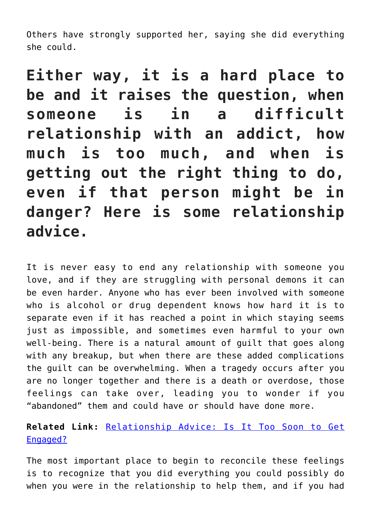Others have strongly supported her, saying she did everything she could.

**Either way, it is a hard place to be and it raises the question, when someone is in a difficult relationship with an addict, how much is too much, and when is getting out the right thing to do, even if that person might be in danger? Here is some relationship advice.**

It is never easy to end any relationship with someone you love, and if they are struggling with personal demons it can be even harder. Anyone who has ever been involved with someone who is alcohol or drug dependent knows how hard it is to separate even if it has reached a point in which staying seems just as impossible, and sometimes even harmful to your own well-being. There is a natural amount of guilt that goes along with any breakup, but when there are these added complications the guilt can be overwhelming. When a tragedy occurs after you are no longer together and there is a death or overdose, those feelings can take over, leading you to wonder if you "abandoned" them and could have or should have done more.

**Related Link:** [Relationship Advice: Is It Too Soon to Get](http://cupidspulse.com/126033/relationship-advice-too-soon-get-engaged/) [Engaged?](http://cupidspulse.com/126033/relationship-advice-too-soon-get-engaged/)

The most important place to begin to reconcile these feelings is to recognize that you did everything you could possibly do when you were in the relationship to help them, and if you had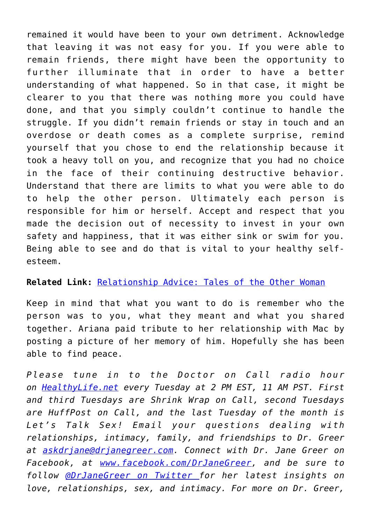remained it would have been to your own detriment. Acknowledge that leaving it was not easy for you. If you were able to remain friends, there might have been the opportunity to further illuminate that in order to have a better understanding of what happened. So in that case, it might be clearer to you that there was nothing more you could have done, and that you simply couldn't continue to handle the struggle. If you didn't remain friends or stay in touch and an overdose or death comes as a complete surprise, remind yourself that you chose to end the relationship because it took a heavy toll on you, and recognize that you had no choice in the face of their continuing destructive behavior. Understand that there are limits to what you were able to do to help the other person. Ultimately each person is responsible for him or herself. Accept and respect that you made the decision out of necessity to invest in your own safety and happiness, that it was either sink or swim for you. Being able to see and do that is vital to your healthy selfesteem.

### **Related Link:** [Relationship Advice: Tales of the Other Woman](http://cupidspulse.com/124540/relationship-advice-tales-other-woman-dr-jane-greer/#more-124540)

Keep in mind that what you want to do is remember who the person was to you, what they meant and what you shared together. Ariana paid tribute to her relationship with Mac by posting a picture of her memory of him. Hopefully she has been able to find peace.

*Please tune in to the Doctor on Call radio hour on [HealthyLife.net](http://www.healthylife.net/) every Tuesday at 2 PM EST, 11 AM PST. First and third Tuesdays are Shrink Wrap on Call, second Tuesdays are HuffPost on Call, and the last Tuesday of the month is Let's Talk Sex! Email your questions dealing with relationships, intimacy, family, and friendships to Dr. Greer at [askdrjane@drjanegreer.com](mailto:askdrjane@drjanegreer.com). Connect with Dr. Jane Greer on Facebook, at [www.facebook.com/DrJaneGreer,](http://www.facebook.com/DrJaneGreer) and be sure to follow [@DrJaneGreer on Twitter f](https://twitter.com/#!/DrJaneGreer)or her latest insights on love, relationships, sex, and intimacy. For more on Dr. Greer,*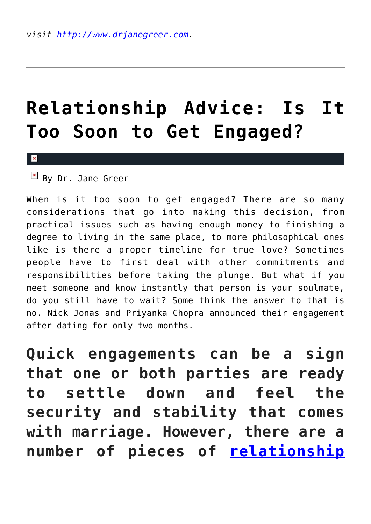## **[Relationship Advice: Is It](https://cupidspulse.com/126033/relationship-advice-too-soon-get-engaged/) [Too Soon to Get Engaged?](https://cupidspulse.com/126033/relationship-advice-too-soon-get-engaged/)**

 $By$  Dr. Jane Greer

When is it too soon to get engaged? There are so many considerations that go into making this decision, from practical issues such as having enough money to finishing a degree to living in the same place, to more philosophical ones like is there a proper timeline for true love? Sometimes people have to first deal with other commitments and responsibilities before taking the plunge. But what if you meet someone and know instantly that person is your soulmate, do you still have to wait? Some think the answer to that is no. Nick Jonas and Priyanka Chopra announced their engagement after dating for only two months.

**Quick engagements can be a sign that one or both parties are ready to settle down and feel the security and stability that comes with marriage. However, there are a number of pieces of [relationship](http://cupidspulse.com/relationship-experts/)**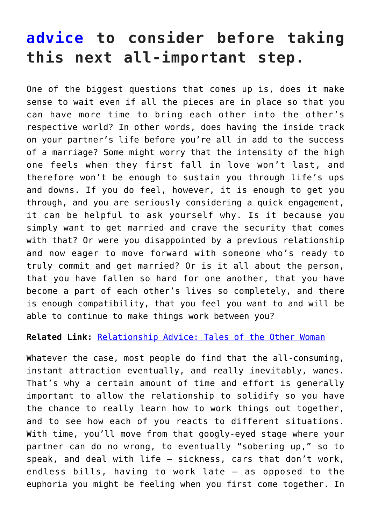### **[advice](http://cupidspulse.com/relationship-experts/) to consider before taking this next all-important step.**

One of the biggest questions that comes up is, does it make sense to wait even if all the pieces are in place so that you can have more time to bring each other into the other's respective world? In other words, does having the inside track on your partner's life before you're all in add to the success of a marriage? Some might worry that the intensity of the high one feels when they first fall in love won't last, and therefore won't be enough to sustain you through life's ups and downs. If you do feel, however, it is enough to get you through, and you are seriously considering a quick engagement, it can be helpful to ask yourself why. Is it because you simply want to get married and crave the security that comes with that? Or were you disappointed by a previous relationship and now eager to move forward with someone who's ready to truly commit and get married? Or is it all about the person, that you have fallen so hard for one another, that you have become a part of each other's lives so completely, and there is enough compatibility, that you feel you want to and will be able to continue to make things work between you?

### **Related Link:** [Relationship Advice: Tales of the Other Woman](http://cupidspulse.com/124540/relationship-advice-tales-other-woman-dr-jane-greer/)

Whatever the case, most people do find that the all-consuming, instant attraction eventually, and really inevitably, wanes. That's why a certain amount of time and effort is generally important to allow the relationship to solidify so you have the chance to really learn how to work things out together, and to see how each of you reacts to different situations. With time, you'll move from that googly-eyed stage where your partner can do no wrong, to eventually "sobering up," so to speak, and deal with life – sickness, cars that don't work, endless bills, having to work late – as opposed to the euphoria you might be feeling when you first come together. In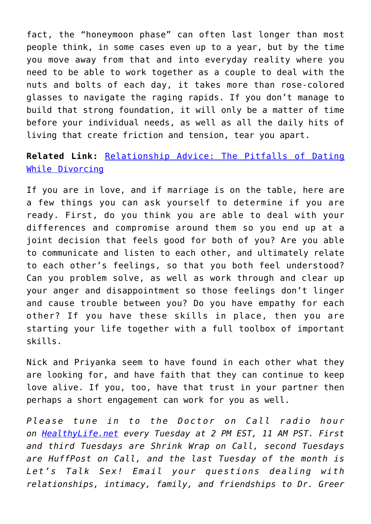fact, the "honeymoon phase" can often last longer than most people think, in some cases even up to a year, but by the time you move away from that and into everyday reality where you need to be able to work together as a couple to deal with the nuts and bolts of each day, it takes more than rose-colored glasses to navigate the raging rapids. If you don't manage to build that strong foundation, it will only be a matter of time before your individual needs, as well as all the daily hits of living that create friction and tension, tear you apart.

### **Related Link:** [Relationship Advice: The Pitfalls of Dating](http://cupidspulse.com/124396/relationship-advice-pitfalls-dating-while-divorcing-dr-jane-greer/) [While Divorcing](http://cupidspulse.com/124396/relationship-advice-pitfalls-dating-while-divorcing-dr-jane-greer/)

If you are in love, and if marriage is on the table, here are a few things you can ask yourself to determine if you are ready. First, do you think you are able to deal with your differences and compromise around them so you end up at a joint decision that feels good for both of you? Are you able to communicate and listen to each other, and ultimately relate to each other's feelings, so that you both feel understood? Can you problem solve, as well as work through and clear up your anger and disappointment so those feelings don't linger and cause trouble between you? Do you have empathy for each other? If you have these skills in place, then you are starting your life together with a full toolbox of important skills.

Nick and Priyanka seem to have found in each other what they are looking for, and have faith that they can continue to keep love alive. If you, too, have that trust in your partner then perhaps a short engagement can work for you as well.

*Please tune in to the Doctor on Call radio hour on [HealthyLife.net](http://www.healthylife.net/) every Tuesday at 2 PM EST, 11 AM PST. First and third Tuesdays are Shrink Wrap on Call, second Tuesdays are HuffPost on Call, and the last Tuesday of the month is Let's Talk Sex! Email your questions dealing with relationships, intimacy, family, and friendships to Dr. Greer*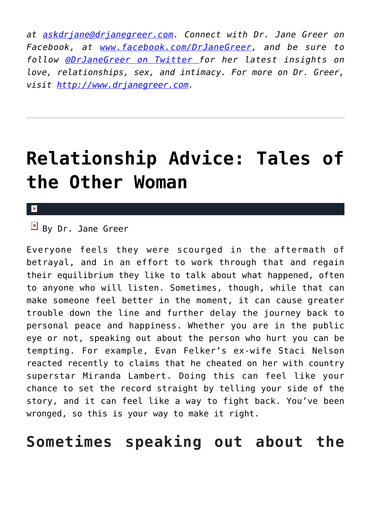*at [askdrjane@drjanegreer.com](mailto:askdrjane@drjanegreer.com). Connect with Dr. Jane Greer on Facebook, at [www.facebook.com/DrJaneGreer,](http://www.facebook.com/DrJaneGreer) and be sure to follow [@DrJaneGreer on Twitter f](https://twitter.com/#!/DrJaneGreer)or her latest insights on love, relationships, sex, and intimacy. For more on Dr. Greer, visit [http://www.drjanegreer.com.](http://www.drjanegreer.com/)*

## **[Relationship Advice: Tales of](https://cupidspulse.com/124540/relationship-advice-tales-other-woman-dr-jane-greer/) [the Other Woman](https://cupidspulse.com/124540/relationship-advice-tales-other-woman-dr-jane-greer/)**

### $\pmb{\times}$

 $\boxed{\times}$  By Dr. Jane Greer

Everyone feels they were scourged in the aftermath of betrayal, and in an effort to work through that and regain their equilibrium they like to talk about what happened, often to anyone who will listen. Sometimes, though, while that can make someone feel better in the moment, it can cause greater trouble down the line and further delay the journey back to personal peace and happiness. Whether you are in the public eye or not, speaking out about the person who hurt you can be tempting. For example, Evan Felker's ex-wife Staci Nelson reacted recently to claims that he cheated on her with country superstar Miranda Lambert. Doing this can feel like your chance to set the record straight by telling your side of the story, and it can feel like a way to fight back. You've been wronged, so this is your way to make it right.

### **Sometimes speaking out about the**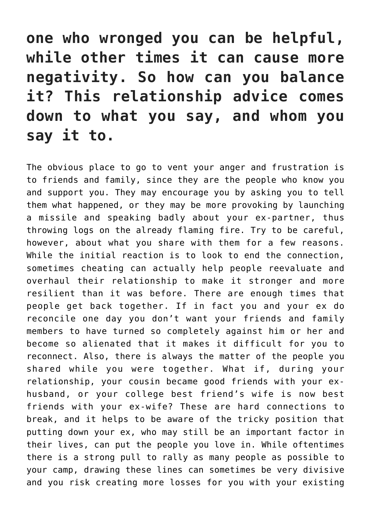**one who wronged you can be helpful, while other times it can cause more negativity. So how can you balance it? This relationship advice comes down to what you say, and whom you say it to.**

The obvious place to go to vent your anger and frustration is to friends and family, since they are the people who know you and support you. They may encourage you by asking you to tell them what happened, or they may be more provoking by launching a missile and speaking badly about your ex-partner, thus throwing logs on the already flaming fire. Try to be careful, however, about what you share with them for a few reasons. While the initial reaction is to look to end the connection, sometimes cheating can actually help people reevaluate and overhaul their relationship to make it stronger and more resilient than it was before. There are enough times that people get back together. If in fact you and your ex do reconcile one day you don't want your friends and family members to have turned so completely against him or her and become so alienated that it makes it difficult for you to reconnect. Also, there is always the matter of the people you shared while you were together. What if, during your relationship, your cousin became good friends with your exhusband, or your college best friend's wife is now best friends with your ex-wife? These are hard connections to break, and it helps to be aware of the tricky position that putting down your ex, who may still be an important factor in their lives, can put the people you love in. While oftentimes there is a strong pull to rally as many people as possible to your camp, drawing these lines can sometimes be very divisive and you risk creating more losses for you with your existing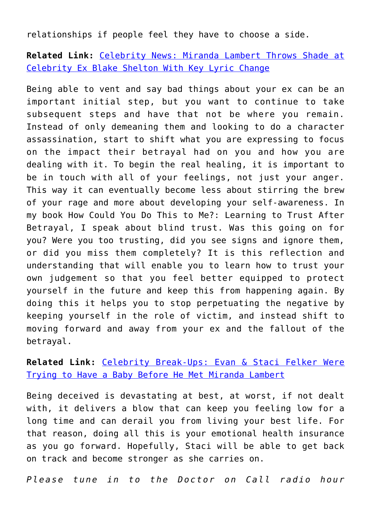relationships if people feel they have to choose a side.

**Related Link:** [Celebrity News: Miranda Lambert Throws Shade at](http://cupidspulse.com/122682/celebrity-news-miranda-lambert-celebrity-ex-blake-shelton-lyric-change/) [Celebrity Ex Blake Shelton With Key Lyric Change](http://cupidspulse.com/122682/celebrity-news-miranda-lambert-celebrity-ex-blake-shelton-lyric-change/)

Being able to vent and say bad things about your ex can be an important initial step, but you want to continue to take subsequent steps and have that not be where you remain. Instead of only demeaning them and looking to do a character assassination, start to shift what you are expressing to focus on the impact their betrayal had on you and how you are dealing with it. To begin the real healing, it is important to be in touch with all of your feelings, not just your anger. This way it can eventually become less about stirring the brew of your rage and more about developing your self-awareness. In my book How Could You Do This to Me?: Learning to Trust After Betrayal, I speak about blind trust. Was this going on for you? Were you too trusting, did you see signs and ignore them, or did you miss them completely? It is this reflection and understanding that will enable you to learn how to trust your own judgement so that you feel better equipped to protect yourself in the future and keep this from happening again. By doing this it helps you to stop perpetuating the negative by keeping yourself in the role of victim, and instead shift to moving forward and away from your ex and the fallout of the betrayal.

**Related Link:** [Celebrity Break-Ups: Evan & Staci Felker Were](http://cupidspulse.com/124442/celebrity-break-ups-evan-staci-felker-trying-baby-before-met-miranda-lambert/) [Trying to Have a Baby Before He Met Miranda Lambert](http://cupidspulse.com/124442/celebrity-break-ups-evan-staci-felker-trying-baby-before-met-miranda-lambert/)

Being deceived is devastating at best, at worst, if not dealt with, it delivers a blow that can keep you feeling low for a long time and can derail you from living your best life. For that reason, doing all this is your emotional health insurance as you go forward. Hopefully, Staci will be able to get back on track and become stronger as she carries on.

*Please tune in to the Doctor on Call radio hour*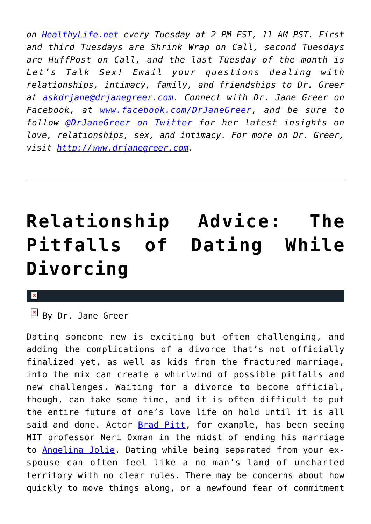*on [HealthyLife.net](http://www.healthylife.net/) every Tuesday at 2 PM EST, 11 AM PST. First and third Tuesdays are Shrink Wrap on Call, second Tuesdays are HuffPost on Call, and the last Tuesday of the month is Let's Talk Sex! Email your questions dealing with relationships, intimacy, family, and friendships to Dr. Greer at [askdrjane@drjanegreer.com](mailto:askdrjane@drjanegreer.com). Connect with Dr. Jane Greer on Facebook, at [www.facebook.com/DrJaneGreer,](http://www.facebook.com/DrJaneGreer) and be sure to follow [@DrJaneGreer on Twitter f](https://twitter.com/#!/DrJaneGreer)or her latest insights on love, relationships, sex, and intimacy. For more on Dr. Greer, visit [http://www.drjanegreer.com.](http://www.drjanegreer.com/)*

# **[Relationship Advice: The](https://cupidspulse.com/124396/relationship-advice-pitfalls-dating-while-divorcing-dr-jane-greer/) [Pitfalls of Dating While](https://cupidspulse.com/124396/relationship-advice-pitfalls-dating-while-divorcing-dr-jane-greer/) [Divorcing](https://cupidspulse.com/124396/relationship-advice-pitfalls-dating-while-divorcing-dr-jane-greer/)**

 $\pmb{\times}$ 

 $\boxed{\times}$  By Dr. Jane Greer

Dating someone new is exciting but often challenging, and adding the complications of a divorce that's not officially finalized yet, as well as kids from the fractured marriage, into the mix can create a whirlwind of possible pitfalls and new challenges. Waiting for a divorce to become official, though, can take some time, and it is often difficult to put the entire future of one's love life on hold until it is all said and done. Actor [Brad Pitt,](http://cupidspulse.com/88145/brad-pitt/) for example, has been seeing MIT professor Neri Oxman in the midst of ending his marriage to [Angelina Jolie.](http://cupidspulse.com/86085/angelina-jolie/) Dating while being separated from your exspouse can often feel like a no man's land of uncharted territory with no clear rules. There may be concerns about how quickly to move things along, or a newfound fear of commitment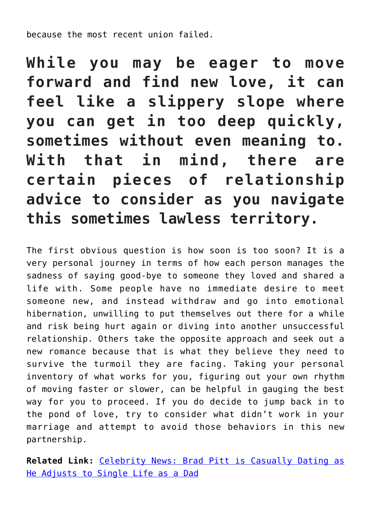because the most recent union failed.

**While you may be eager to move forward and find new love, it can feel like a slippery slope where you can get in too deep quickly, sometimes without even meaning to. With that in mind, there are certain pieces of relationship advice to consider as you navigate this sometimes lawless territory.**

The first obvious question is how soon is too soon? It is a very personal journey in terms of how each person manages the sadness of saying good-bye to someone they loved and shared a life with. Some people have no immediate desire to meet someone new, and instead withdraw and go into emotional hibernation, unwilling to put themselves out there for a while and risk being hurt again or diving into another unsuccessful relationship. Others take the opposite approach and seek out a new romance because that is what they believe they need to survive the turmoil they are facing. Taking your personal inventory of what works for you, figuring out your own rhythm of moving faster or slower, can be helpful in gauging the best way for you to proceed. If you do decide to jump back in to the pond of love, try to consider what didn't work in your marriage and attempt to avoid those behaviors in this new partnership.

**Related Link:** [Celebrity News: Brad Pitt is Casually Dating as](http://cupidspulse.com/122378/celebrity-news-brad-pitt-casually-dating-single-dad/) [He Adjusts to Single Life as a Dad](http://cupidspulse.com/122378/celebrity-news-brad-pitt-casually-dating-single-dad/)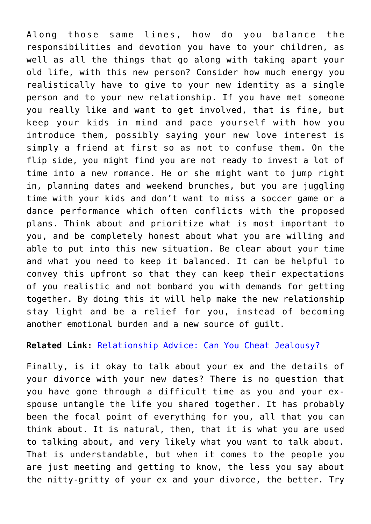Along those same lines, how do you balance the responsibilities and devotion you have to your children, as well as all the things that go along with taking apart your old life, with this new person? Consider how much energy you realistically have to give to your new identity as a single person and to your new relationship. If you have met someone you really like and want to get involved, that is fine, but keep your kids in mind and pace yourself with how you introduce them, possibly saying your new love interest is simply a friend at first so as not to confuse them. On the flip side, you might find you are not ready to invest a lot of time into a new romance. He or she might want to jump right in, planning dates and weekend brunches, but you are juggling time with your kids and don't want to miss a soccer game or a dance performance which often conflicts with the proposed plans. Think about and prioritize what is most important to you, and be completely honest about what you are willing and able to put into this new situation. Be clear about your time and what you need to keep it balanced. It can be helpful to convey this upfront so that they can keep their expectations of you realistic and not bombard you with demands for getting together. By doing this it will help make the new relationship stay light and be a relief for you, instead of becoming another emotional burden and a new source of guilt.

### **Related Link:** [Relationship Advice: Can You Cheat Jealousy?](http://cupidspulse.com/116711/relationship-advice-cheat-jealousy-dr-jane-greer/)

Finally, is it okay to talk about your ex and the details of your divorce with your new dates? There is no question that you have gone through a difficult time as you and your exspouse untangle the life you shared together. It has probably been the focal point of everything for you, all that you can think about. It is natural, then, that it is what you are used to talking about, and very likely what you want to talk about. That is understandable, but when it comes to the people you are just meeting and getting to know, the less you say about the nitty-gritty of your ex and your divorce, the better. Try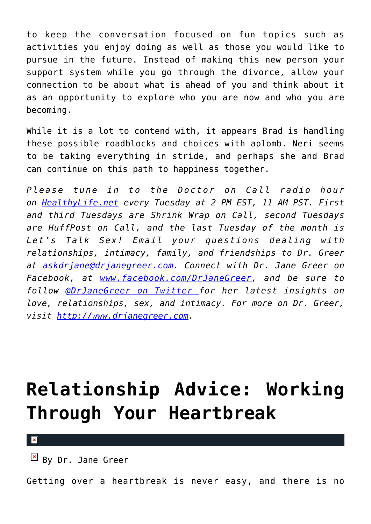to keep the conversation focused on fun topics such as activities you enjoy doing as well as those you would like to pursue in the future. Instead of making this new person your support system while you go through the divorce, allow your connection to be about what is ahead of you and think about it as an opportunity to explore who you are now and who you are becoming.

While it is a lot to contend with, it appears Brad is handling these possible roadblocks and choices with aplomb. Neri seems to be taking everything in stride, and perhaps she and Brad can continue on this path to happiness together.

*Please tune in to the Doctor on Call radio hour on [HealthyLife.net](http://www.healthylife.net/) every Tuesday at 2 PM EST, 11 AM PST. First and third Tuesdays are Shrink Wrap on Call, second Tuesdays are HuffPost on Call, and the last Tuesday of the month is Let's Talk Sex! Email your questions dealing with relationships, intimacy, family, and friendships to Dr. Greer at [askdrjane@drjanegreer.com](mailto:askdrjane@drjanegreer.com). Connect with Dr. Jane Greer on Facebook, at [www.facebook.com/DrJaneGreer,](http://www.facebook.com/DrJaneGreer) and be sure to follow [@DrJaneGreer on Twitter f](https://twitter.com/#!/DrJaneGreer)or her latest insights on love, relationships, sex, and intimacy. For more on Dr. Greer, visit [http://www.drjanegreer.com.](http://www.drjanegreer.com/)*

# **[Relationship Advice: Working](https://cupidspulse.com/124049/relationship-advice-working-through-heartbreak-dr-jane-greer/) [Through Your Heartbreak](https://cupidspulse.com/124049/relationship-advice-working-through-heartbreak-dr-jane-greer/)**

 $By$  Dr. Jane Greer

Getting over a heartbreak is never easy, and there is no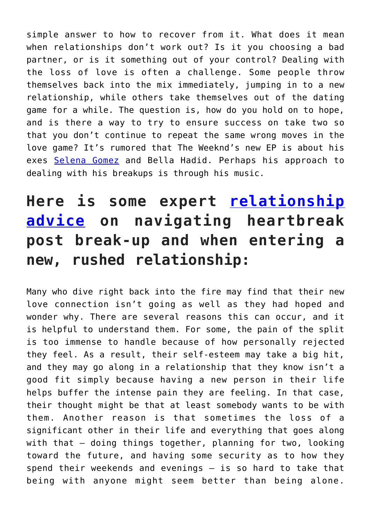simple answer to how to recover from it. What does it mean when relationships don't work out? Is it you choosing a bad partner, or is it something out of your control? Dealing with the loss of love is often a challenge. Some people throw themselves back into the mix immediately, jumping in to a new relationship, while others take themselves out of the dating game for a while. The question is, how do you hold on to hope, and is there a way to try to ensure success on take two so that you don't continue to repeat the same wrong moves in the love game? It's rumored that The Weeknd's new EP is about his exes [Selena Gomez](http://cupidspulse.com/89073/selena-gomez/) and Bella Hadid. Perhaps his approach to dealing with his breakups is through his music.

## **Here is some expert [relationship](http://cupidspulse.com/relationship-experts/) [advice](http://cupidspulse.com/relationship-experts/) on navigating heartbreak post break-up and when entering a new, rushed relationship:**

Many who dive right back into the fire may find that their new love connection isn't going as well as they had hoped and wonder why. There are several reasons this can occur, and it is helpful to understand them. For some, the pain of the split is too immense to handle because of how personally rejected they feel. As a result, their self-esteem may take a big hit, and they may go along in a relationship that they know isn't a good fit simply because having a new person in their life helps buffer the intense pain they are feeling. In that case, their thought might be that at least somebody wants to be with them. Another reason is that sometimes the loss of a significant other in their life and everything that goes along with that – doing things together, planning for two, looking toward the future, and having some security as to how they spend their weekends and evenings – is so hard to take that being with anyone might seem better than being alone.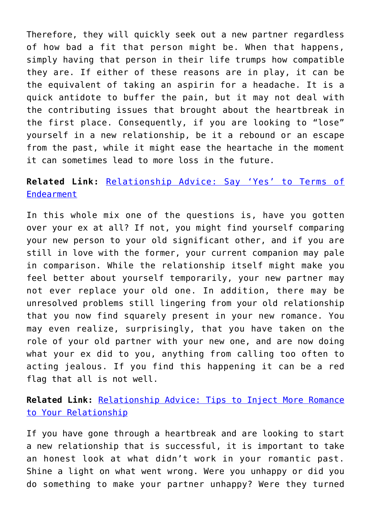Therefore, they will quickly seek out a new partner regardless of how bad a fit that person might be. When that happens, simply having that person in their life trumps how compatible they are. If either of these reasons are in play, it can be the equivalent of taking an aspirin for a headache. It is a quick antidote to buffer the pain, but it may not deal with the contributing issues that brought about the heartbreak in the first place. Consequently, if you are looking to "lose" yourself in a new relationship, be it a rebound or an escape from the past, while it might ease the heartache in the moment it can sometimes lead to more loss in the future.

### **Related Link:** [Relationship Advice: Say 'Yes' to Terms of](http://cupidspulse.com/123920/relationship-advice-terms-of-endearment-dr-greer/) [Endearment](http://cupidspulse.com/123920/relationship-advice-terms-of-endearment-dr-greer/)

In this whole mix one of the questions is, have you gotten over your ex at all? If not, you might find yourself comparing your new person to your old significant other, and if you are still in love with the former, your current companion may pale in comparison. While the relationship itself might make you feel better about yourself temporarily, your new partner may not ever replace your old one. In addition, there may be unresolved problems still lingering from your old relationship that you now find squarely present in your new romance. You may even realize, surprisingly, that you have taken on the role of your old partner with your new one, and are now doing what your ex did to you, anything from calling too often to acting jealous. If you find this happening it can be a red flag that all is not well.

### **Related Link:** [Relationship Advice: Tips to Inject More Romance](http://cupidspulse.com/123441/tips-inject-more-romance-your-relationship/) [to Your Relationship](http://cupidspulse.com/123441/tips-inject-more-romance-your-relationship/)

If you have gone through a heartbreak and are looking to start a new relationship that is successful, it is important to take an honest look at what didn't work in your romantic past. Shine a light on what went wrong. Were you unhappy or did you do something to make your partner unhappy? Were they turned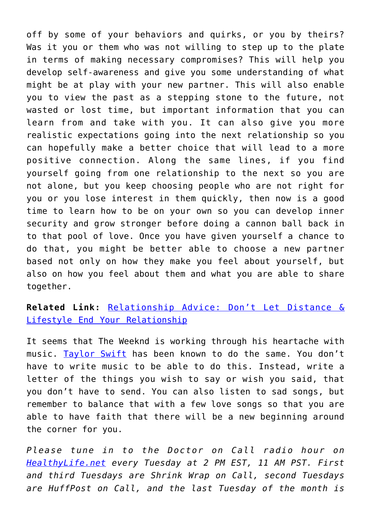off by some of your behaviors and quirks, or you by theirs? Was it you or them who was not willing to step up to the plate in terms of making necessary compromises? This will help you develop self-awareness and give you some understanding of what might be at play with your new partner. This will also enable you to view the past as a stepping stone to the future, not wasted or lost time, but important information that you can learn from and take with you. It can also give you more realistic expectations going into the next relationship so you can hopefully make a better choice that will lead to a more positive connection. Along the same lines, if you find yourself going from one relationship to the next so you are not alone, but you keep choosing people who are not right for you or you lose interest in them quickly, then now is a good time to learn how to be on your own so you can develop inner security and grow stronger before doing a cannon ball back in to that pool of love. Once you have given yourself a chance to do that, you might be better able to choose a new partner based not only on how they make you feel about yourself, but also on how you feel about them and what you are able to share together.

### **Related Link:** [Relationship Advice: Don't Let Distance &](http://cupidspulse.com/123354/relationship-advice-distance-lifestyle-affect-relationship-dr-greer/) [Lifestyle End Your Relationship](http://cupidspulse.com/123354/relationship-advice-distance-lifestyle-affect-relationship-dr-greer/)

It seems that The Weeknd is working through his heartache with music. [Taylor Swift](http://cupidspulse.com/86081/taylor-swift/) has been known to do the same. You don't have to write music to be able to do this. Instead, write a letter of the things you wish to say or wish you said, that you don't have to send. You can also listen to sad songs, but remember to balance that with a few love songs so that you are able to have faith that there will be a new beginning around the corner for you.

*Please tune in to the Doctor on Call radio hour on [HealthyLife.net](http://www.healthylife.net/) every Tuesday at 2 PM EST, 11 AM PST. First and third Tuesdays are Shrink Wrap on Call, second Tuesdays are HuffPost on Call, and the last Tuesday of the month is*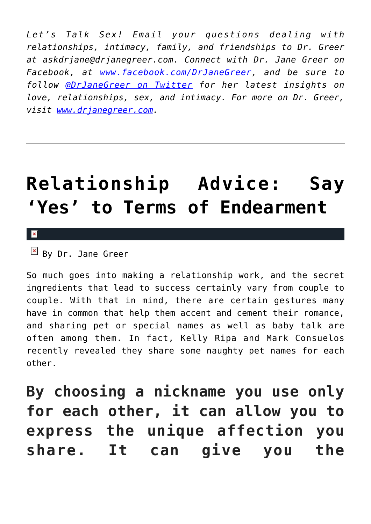*Let's Talk Sex! Email your questions dealing with relationships, intimacy, family, and friendships to Dr. Greer at askdrjane@drjanegreer.com. Connect with Dr. Jane Greer on Facebook, at [www.facebook.com/DrJaneGreer,](https://www.facebook.com/DrJaneGreer) and be sure to follow [@DrJaneGreer on Twitter](https://twitter.com/DrJaneGreer) for her latest insights on love, relationships, sex, and intimacy. For more on Dr. Greer, visit [www.drjanegreer.com.](http://www.drjanegreer.com)*

## **[Relationship Advice: Say](https://cupidspulse.com/123920/relationship-advice-terms-of-endearment-dr-greer/) ['Yes' to Terms of Endearment](https://cupidspulse.com/123920/relationship-advice-terms-of-endearment-dr-greer/)**

#### $\mathbf{x}$

 $\overline{B}$  By Dr. Jane Greer

So much goes into making a relationship work, and the secret ingredients that lead to success certainly vary from couple to couple. With that in mind, there are certain gestures many have in common that help them accent and cement their romance, and sharing pet or special names as well as baby talk are often among them. In fact, Kelly Ripa and Mark Consuelos recently revealed they share some naughty pet names for each other.

**By choosing a nickname you use only for each other, it can allow you to express the unique affection you share. It can give you the**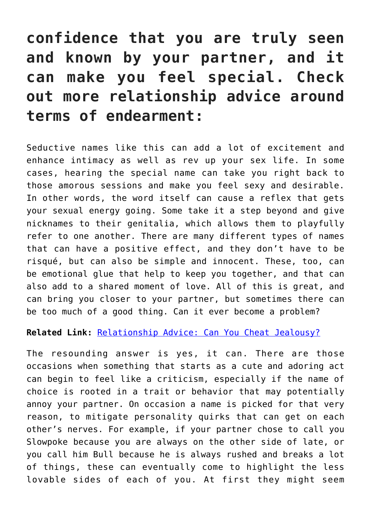## **confidence that you are truly seen and known by your partner, and it can make you feel special. Check out more relationship advice around terms of endearment:**

Seductive names like this can add a lot of excitement and enhance intimacy as well as rev up your sex life. In some cases, hearing the special name can take you right back to those amorous sessions and make you feel sexy and desirable. In other words, the word itself can cause a reflex that gets your sexual energy going. Some take it a step beyond and give nicknames to their genitalia, which allows them to playfully refer to one another. There are many different types of names that can have a positive effect, and they don't have to be risqué, but can also be simple and innocent. These, too, can be emotional glue that help to keep you together, and that can also add to a shared moment of love. All of this is great, and can bring you closer to your partner, but sometimes there can be too much of a good thing. Can it ever become a problem?

### **Related Link:** [Relationship Advice: Can You Cheat Jealousy?](http://cupidspulse.com/116711/relationship-advice-cheat-jealousy-dr-jane-greer/)

The resounding answer is yes, it can. There are those occasions when something that starts as a cute and adoring act can begin to feel like a criticism, especially if the name of choice is rooted in a trait or behavior that may potentially annoy your partner. On occasion a name is picked for that very reason, to mitigate personality quirks that can get on each other's nerves. For example, if your partner chose to call you Slowpoke because you are always on the other side of late, or you call him Bull because he is always rushed and breaks a lot of things, these can eventually come to highlight the less lovable sides of each of you. At first they might seem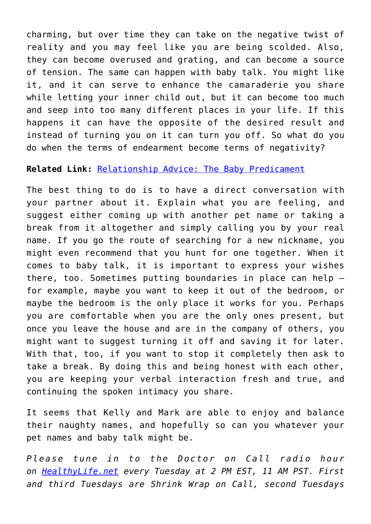charming, but over time they can take on the negative twist of reality and you may feel like you are being scolded. Also, they can become overused and grating, and can become a source of tension. The same can happen with baby talk. You might like it, and it can serve to enhance the camaraderie you share while letting your inner child out, but it can become too much and seep into too many different places in your life. If this happens it can have the opposite of the desired result and instead of turning you on it can turn you off. So what do you do when the terms of endearment become terms of negativity?

### **Related Link:** [Relationship Advice: The Baby Predicament](http://cupidspulse.com/115137/relationship-advice-baby-predicament/)

The best thing to do is to have a direct conversation with your partner about it. Explain what you are feeling, and suggest either coming up with another pet name or taking a break from it altogether and simply calling you by your real name. If you go the route of searching for a new nickname, you might even recommend that you hunt for one together. When it comes to baby talk, it is important to express your wishes there, too. Sometimes putting boundaries in place can help – for example, maybe you want to keep it out of the bedroom, or maybe the bedroom is the only place it works for you. Perhaps you are comfortable when you are the only ones present, but once you leave the house and are in the company of others, you might want to suggest turning it off and saving it for later. With that, too, if you want to stop it completely then ask to take a break. By doing this and being honest with each other, you are keeping your verbal interaction fresh and true, and continuing the spoken intimacy you share.

It seems that Kelly and Mark are able to enjoy and balance their naughty names, and hopefully so can you whatever your pet names and baby talk might be.

*Please tune in to the Doctor on Call radio hour on [HealthyLife.net](http://www.healthylife.net/) every Tuesday at 2 PM EST, 11 AM PST. First and third Tuesdays are Shrink Wrap on Call, second Tuesdays*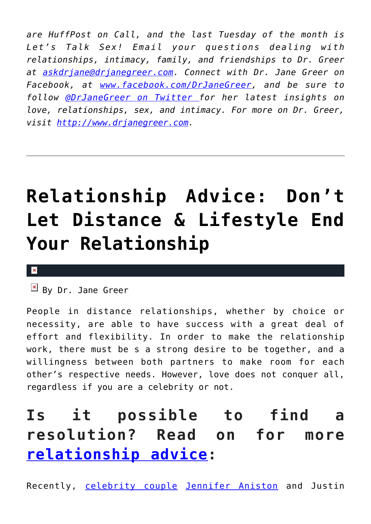*are HuffPost on Call, and the last Tuesday of the month is Let's Talk Sex! Email your questions dealing with relationships, intimacy, family, and friendships to Dr. Greer at [askdrjane@drjanegreer.com](mailto:askdrjane@drjanegreer.com). Connect with Dr. Jane Greer on Facebook, at [www.facebook.com/DrJaneGreer,](http://www.facebook.com/DrJaneGreer) and be sure to follow [@DrJaneGreer on Twitter f](https://twitter.com/#!/DrJaneGreer)or her latest insights on love, relationships, sex, and intimacy. For more on Dr. Greer, visit [http://www.drjanegreer.com.](http://www.drjanegreer.com/)*

## **[Relationship Advice: Don't](https://cupidspulse.com/123354/relationship-advice-distance-lifestyle-affect-relationship-dr-greer/) [Let Distance & Lifestyle End](https://cupidspulse.com/123354/relationship-advice-distance-lifestyle-affect-relationship-dr-greer/) [Your Relationship](https://cupidspulse.com/123354/relationship-advice-distance-lifestyle-affect-relationship-dr-greer/)**

#### ×

 $\boxed{\times}$  By Dr. Jane Greer

People in distance relationships, whether by choice or necessity, are able to have success with a great deal of effort and flexibility. In order to make the relationship work, there must be s a strong desire to be together, and a willingness between both partners to make room for each other's respective needs. However, love does not conquer all, regardless if you are a celebrity or not.

## **Is it possible to find a resolution? Read on for more [relationship advice:](http://cupidspulse.com/relationship-experts/)**

Recently, [celebrity couple](http://cupidspulse.com/celebrity-news/celebrity-dating/) [Jennifer Aniston](http://cupidspulse.com/86079/jennifer-aniston/) and Justin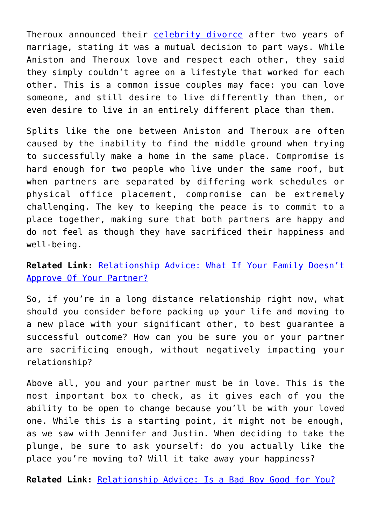Theroux announced their [celebrity divorce](http://cupidspulse.com/celebrity-news/celebrity-break-ups/) after two years of marriage, stating it was a mutual decision to part ways. While Aniston and Theroux love and respect each other, they said they simply couldn't agree on a lifestyle that worked for each other. This is a common issue couples may face: you can love someone, and still desire to live differently than them, or even desire to live in an entirely different place than them.

Splits like the one between Aniston and Theroux are often caused by the inability to find the middle ground when trying to successfully make a home in the same place. Compromise is hard enough for two people who live under the same roof, but when partners are separated by differing work schedules or physical office placement, compromise can be extremely challenging. The key to keeping the peace is to commit to a place together, making sure that both partners are happy and do not feel as though they have sacrificed their happiness and well-being.

**Related Link:** [Relationship Advice: What If Your Family Doesn't](http://cupidspulse.com/122697/relationship-advice-family-doesnt-approve-partner-dr-greer/) [Approve Of Your Partner?](http://cupidspulse.com/122697/relationship-advice-family-doesnt-approve-partner-dr-greer/)

So, if you're in a long distance relationship right now, what should you consider before packing up your life and moving to a new place with your significant other, to best guarantee a successful outcome? How can you be sure you or your partner are sacrificing enough, without negatively impacting your relationship?

Above all, you and your partner must be in love. This is the most important box to check, as it gives each of you the ability to be open to change because you'll be with your loved one. While this is a starting point, it might not be enough, as we saw with Jennifer and Justin. When deciding to take the plunge, be sure to ask yourself: do you actually like the place you're moving to? Will it take away your happiness?

**Related Link:** [Relationship Advice: Is a Bad Boy Good for You?](http://cupidspulse.com/121689/relationship-advice-is-a-bad-boy-good-for-you/)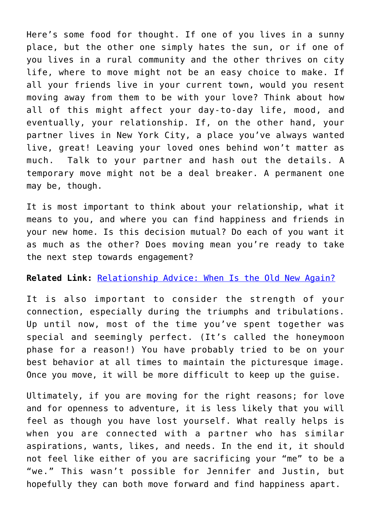Here's some food for thought. If one of you lives in a sunny place, but the other one simply hates the sun, or if one of you lives in a rural community and the other thrives on city life, where to move might not be an easy choice to make. If all your friends live in your current town, would you resent moving away from them to be with your love? Think about how all of this might affect your day-to-day life, mood, and eventually, your relationship. If, on the other hand, your partner lives in New York City, a place you've always wanted live, great! Leaving your loved ones behind won't matter as much. Talk to your partner and hash out the details. A temporary move might not be a deal breaker. A permanent one may be, though.

It is most important to think about your relationship, what it means to you, and where you can find happiness and friends in your new home. Is this decision mutual? Do each of you want it as much as the other? Does moving mean you're ready to take the next step towards engagement?

### **Related Link:** [Relationship Advice: When Is the Old New Again?](http://cupidspulse.com/121548/121548relationship-advice-when-is-old-new-again-dr-jane-greer/)

It is also important to consider the strength of your connection, especially during the triumphs and tribulations. Up until now, most of the time you've spent together was special and seemingly perfect. (It's called the honeymoon phase for a reason!) You have probably tried to be on your best behavior at all times to maintain the picturesque image. Once you move, it will be more difficult to keep up the guise.

Ultimately, if you are moving for the right reasons; for love and for openness to adventure, it is less likely that you will feel as though you have lost yourself. What really helps is when you are connected with a partner who has similar aspirations, wants, likes, and needs. In the end it, it should not feel like either of you are sacrificing your "me" to be a "we." This wasn't possible for Jennifer and Justin, but hopefully they can both move forward and find happiness apart.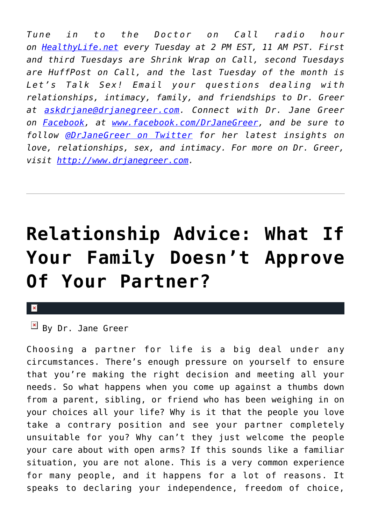*Tune in to the Doctor on Call radio hour on [HealthyLife.net](http://www.healthylife.net/) every Tuesday at 2 PM EST, 11 AM PST. First and third Tuesdays are Shrink Wrap on Call, second Tuesdays are HuffPost on Call, and the last Tuesday of the month is Let's Talk Sex! Email your questions dealing with relationships, intimacy, family, and friendships to Dr. Greer at [askdrjane@drjanegreer.com](mailto:askdrjane@drjanegreer.com). Connect with Dr. Jane Greer on [Facebook,](http://www.facebook.com/DrJaneGreer) at [www.facebook.com/DrJaneGreer,](http://www.facebook.com/DrJaneGreer) and be sure to follow [@DrJaneGreer on Twitter](https://twitter.com/#!/DrJaneGreer) for her latest insights on love, relationships, sex, and intimacy. For more on Dr. Greer, visit [http://www.drjanegreer.com.](http://www.drjanegreer.com/)*

# **[Relationship Advice: What If](https://cupidspulse.com/122697/relationship-advice-family-doesnt-approve-partner-dr-greer/) [Your Family Doesn't Approve](https://cupidspulse.com/122697/relationship-advice-family-doesnt-approve-partner-dr-greer/) [Of Your Partner?](https://cupidspulse.com/122697/relationship-advice-family-doesnt-approve-partner-dr-greer/)**

 $\boxed{\times}$  By Dr. Jane Greer

Choosing a partner for life is a big deal under any circumstances. There's enough pressure on yourself to ensure that you're making the right decision and meeting all your needs. So what happens when you come up against a thumbs down from a parent, sibling, or friend who has been weighing in on your choices all your life? Why is it that the people you love take a contrary position and see your partner completely unsuitable for you? Why can't they just welcome the people your care about with open arms? If this sounds like a familiar situation, you are not alone. This is a very common experience for many people, and it happens for a lot of reasons. It speaks to declaring your independence, freedom of choice,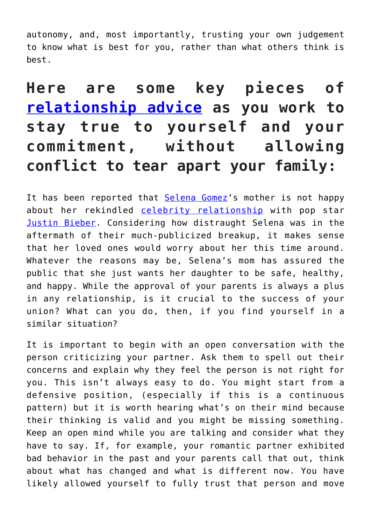autonomy, and, most importantly, trusting your own judgement to know what is best for you, rather than what others think is best.

**Here are some key pieces of [relationship advice](http://cupidspulse.com/relationship-experts/) as you work to stay true to yourself and your commitment, without allowing conflict to tear apart your family:**

It has been reported that [Selena Gomez'](http://cupidspulse.com/89073/selena-gomez/)s mother is not happy about her rekindled [celebrity relationship](http://cupidspulse.com/celebrity-relationships/) with pop star [Justin Bieber](http://cupidspulse.com/87039/justin-bieber/). Considering how distraught Selena was in the aftermath of their much-publicized breakup, it makes sense that her loved ones would worry about her this time around. Whatever the reasons may be, Selena's mom has assured the public that she just wants her daughter to be safe, healthy, and happy. While the approval of your parents is always a plus in any relationship, is it crucial to the success of your union? What can you do, then, if you find yourself in a similar situation?

It is important to begin with an open conversation with the person criticizing your partner. Ask them to spell out their concerns and explain why they feel the person is not right for you. This isn't always easy to do. You might start from a defensive position, (especially if this is a continuous pattern) but it is worth hearing what's on their mind because their thinking is valid and you might be missing something. Keep an open mind while you are talking and consider what they have to say. If, for example, your romantic partner exhibited bad behavior in the past and your parents call that out, think about what has changed and what is different now. You have likely allowed yourself to fully trust that person and move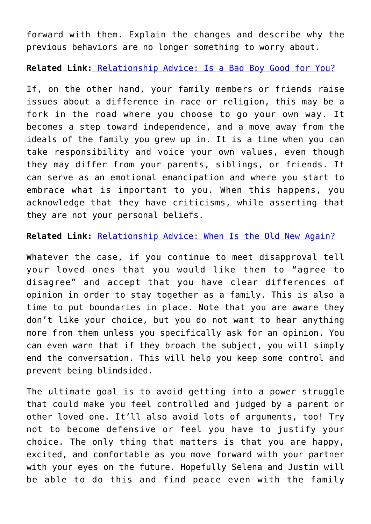forward with them. Explain the changes and describe why the previous behaviors are no longer something to worry about.

**Related Link[:](http://cupidspulse.com/121689/relationship-advice-is-a-bad-boy-good-for-you/)** [Relationship Advice: Is a Bad Boy Good for You?](http://cupidspulse.com/121689/relationship-advice-is-a-bad-boy-good-for-you/)

If, on the other hand, your family members or friends raise issues about a difference in race or religion, this may be a fork in the road where you choose to go your own way. It becomes a step toward independence, and a move away from the ideals of the family you grew up in. It is a time when you can take responsibility and voice your own values, even though they may differ from your parents, siblings, or friends. It can serve as an emotional emancipation and where you start to embrace what is important to you. When this happens, you acknowledge that they have criticisms, while asserting that they are not your personal beliefs.

**Related Link:** [Relationship Advice: When Is the Old New Again?](http://cupidspulse.com/121548/121548relationship-advice-when-is-old-new-again-dr-jane-greer/#more-121548)

Whatever the case, if you continue to meet disapproval tell your loved ones that you would like them to "agree to disagree" and accept that you have clear differences of opinion in order to stay together as a family. This is also a time to put boundaries in place. Note that you are aware they don't like your choice, but you do not want to hear anything more from them unless you specifically ask for an opinion. You can even warn that if they broach the subject, you will simply end the conversation. This will help you keep some control and prevent being blindsided.

The ultimate goal is to avoid getting into a power struggle that could make you feel controlled and judged by a parent or other loved one. It'll also avoid lots of arguments, too! Try not to become defensive or feel you have to justify your choice. The only thing that matters is that you are happy, excited, and comfortable as you move forward with your partner with your eyes on the future. Hopefully Selena and Justin will be able to do this and find peace even with the family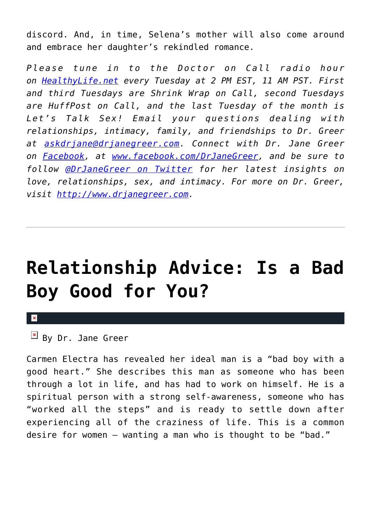discord. And, in time, Selena's mother will also come around and embrace her daughter's rekindled romance.

*Please tune in to the Doctor on Call radio hour on [HealthyLife.net](http://www.healthylife.net/) every Tuesday at 2 PM EST, 11 AM PST. First and third Tuesdays are Shrink Wrap on Call, second Tuesdays are HuffPost on Call, and the last Tuesday of the month is Let's Talk Sex! Email your questions dealing with relationships, intimacy, family, and friendships to Dr. Greer at [askdrjane@drjanegreer.com](mailto:askdrjane@drjanegreer.com). Connect with Dr. Jane Greer on [Facebook,](http://www.facebook.com/DrJaneGreer) at [www.facebook.com/DrJaneGreer,](http://www.facebook.com/DrJaneGreer) and be sure to follow [@DrJaneGreer on Twitter](https://twitter.com/#!/DrJaneGreer) for her latest insights on love, relationships, sex, and intimacy. For more on Dr. Greer, visit [http://www.drjanegreer.com.](http://www.drjanegreer.com/)*

## **[Relationship Advice: Is a Bad](https://cupidspulse.com/121689/relationship-advice-is-a-bad-boy-good-for-you/) [Boy Good for You?](https://cupidspulse.com/121689/relationship-advice-is-a-bad-boy-good-for-you/)**

 $\overline{B}$  By Dr. Jane Greer

Carmen Electra has revealed her ideal man is a "bad boy with a good heart." She describes this man as someone who has been through a lot in life, and has had to work on himself. He is a spiritual person with a strong self-awareness, someone who has "worked all the steps" and is ready to settle down after experiencing all of the craziness of life. This is a common desire for women – wanting a man who is thought to be "bad."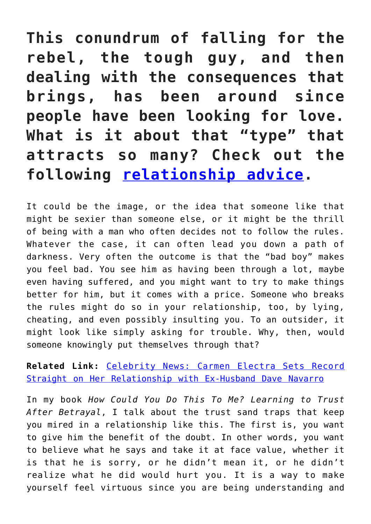**This conundrum of falling for the rebel, the tough guy, and then dealing with the consequences that brings, has been around since people have been looking for love. What is it about that "type" that attracts so many? Check out the following [relationship advice.](http://cupidspulse.com/relationship-experts/)**

It could be the image, or the idea that someone like that might be sexier than someone else, or it might be the thrill of being with a man who often decides not to follow the rules. Whatever the case, it can often lead you down a path of darkness. Very often the outcome is that the "bad boy" makes you feel bad. You see him as having been through a lot, maybe even having suffered, and you might want to try to make things better for him, but it comes with a price. Someone who breaks the rules might do so in your relationship, too, by lying, cheating, and even possibly insulting you. To an outsider, it might look like simply asking for trouble. Why, then, would someone knowingly put themselves through that?

**Related Link:** [Celebrity News: Carmen Electra Sets Record](http://cupidspulse.com/120435/celebrity-news-carmen-electra-sets-record-straight-relationship-ex-husband-dave-navarro/) [Straight on Her Relationship with Ex-Husband Dave Navarro](http://cupidspulse.com/120435/celebrity-news-carmen-electra-sets-record-straight-relationship-ex-husband-dave-navarro/)

In my book *How Could You Do This To Me? Learning to Trust After Betrayal*, I talk about the trust sand traps that keep you mired in a relationship like this. The first is, you want to give him the benefit of the doubt. In other words, you want to believe what he says and take it at face value, whether it is that he is sorry, or he didn't mean it, or he didn't realize what he did would hurt you. It is a way to make yourself feel virtuous since you are being understanding and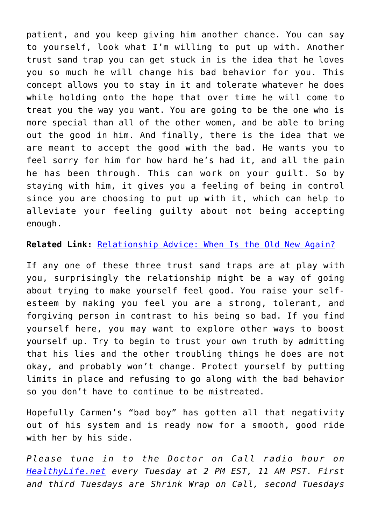patient, and you keep giving him another chance. You can say to yourself, look what I'm willing to put up with. Another trust sand trap you can get stuck in is the idea that he loves you so much he will change his bad behavior for you. This concept allows you to stay in it and tolerate whatever he does while holding onto the hope that over time he will come to treat you the way you want. You are going to be the one who is more special than all of the other women, and be able to bring out the good in him. And finally, there is the idea that we are meant to accept the good with the bad. He wants you to feel sorry for him for how hard he's had it, and all the pain he has been through. This can work on your guilt. So by staying with him, it gives you a feeling of being in control since you are choosing to put up with it, which can help to alleviate your feeling guilty about not being accepting enough.

### **Related Link:** [Relationship Advice: When Is the Old New Again?](http://cupidspulse.com/121548/121548relationship-advice-when-is-old-new-again-dr-jane-greer)

If any one of these three trust sand traps are at play with you, surprisingly the relationship might be a way of going about trying to make yourself feel good. You raise your selfesteem by making you feel you are a strong, tolerant, and forgiving person in contrast to his being so bad. If you find yourself here, you may want to explore other ways to boost yourself up. Try to begin to trust your own truth by admitting that his lies and the other troubling things he does are not okay, and probably won't change. Protect yourself by putting limits in place and refusing to go along with the bad behavior so you don't have to continue to be mistreated.

Hopefully Carmen's "bad boy" has gotten all that negativity out of his system and is ready now for a smooth, good ride with her by his side.

*Please tune in to the Doctor on Call radio hour on [HealthyLife.net](http://www.healthylife.net/) every Tuesday at 2 PM EST, 11 AM PST. First and third Tuesdays are Shrink Wrap on Call, second Tuesdays*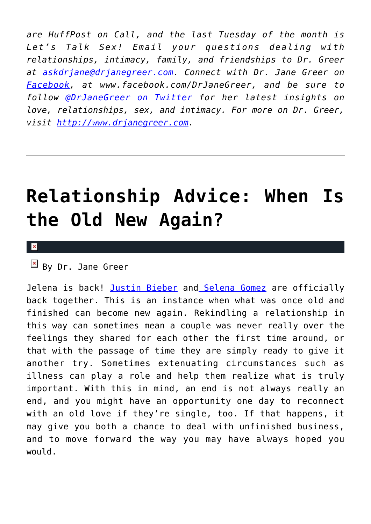*are HuffPost on Call, and the last Tuesday of the month is Let's Talk Sex! Email your questions dealing with relationships, intimacy, family, and friendships to Dr. Greer at [askdrjane@drjanegreer.com](mailto:askdrjane@drjanegreer.com). Connect with Dr. Jane Greer on [Facebook](http://www.facebook.com/DrJaneGreer), at www.facebook.com/DrJaneGreer, and be sure to follow [@DrJaneGreer on Twitter](https://twitter.com/#!/DrJaneGreer) for her latest insights on love, relationships, sex, and intimacy. For more on Dr. Greer, visit [http://www.drjanegreer.com.](http://www.drjanegreer.com/)*

# **[Relationship Advice: When Is](https://cupidspulse.com/121548/121548relationship-advice-when-is-old-new-again-dr-jane-greer/) [the Old New Again?](https://cupidspulse.com/121548/121548relationship-advice-when-is-old-new-again-dr-jane-greer/)**

#### $\mathbf{x}$

 $\overline{B}$  By Dr. Jane Greer

Jelena is back! [Justin Bieber](http://cupidspulse.com/87039/justin-bieber/) and [Selena Gomez](http://cupidspulse.com/89073/selena-gomez/) are officially back together. This is an instance when what was once old and finished can become new again. Rekindling a relationship in this way can sometimes mean a couple was never really over the feelings they shared for each other the first time around, or that with the passage of time they are simply ready to give it another try. Sometimes extenuating circumstances such as illness can play a role and help them realize what is truly important. With this in mind, an end is not always really an end, and you might have an opportunity one day to reconnect with an old love if they're single, too. If that happens, it may give you both a chance to deal with unfinished business, and to move forward the way you may have always hoped you would.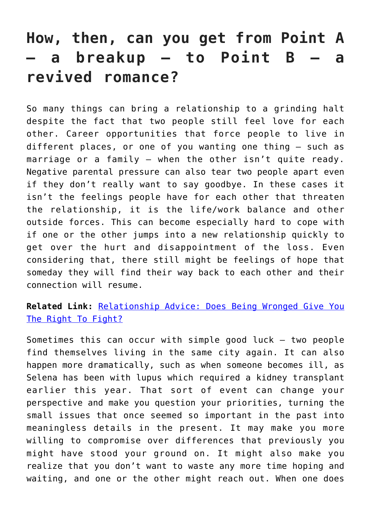# **How, then, can you get from Point A – a breakup – to Point B – a revived romance?**

So many things can bring a relationship to a grinding halt despite the fact that two people still feel love for each other. Career opportunities that force people to live in different places, or one of you wanting one thing – such as marriage or a family – when the other isn't quite ready. Negative parental pressure can also tear two people apart even if they don't really want to say goodbye. In these cases it isn't the feelings people have for each other that threaten the relationship, it is the life/work balance and other outside forces. This can become especially hard to cope with if one or the other jumps into a new relationship quickly to get over the hurt and disappointment of the loss. Even considering that, there still might be feelings of hope that someday they will find their way back to each other and their connection will resume.

**Related Link:** [Relationship Advice: Does Being Wronged Give You](http://cupidspulse.com/121361/relationship-advice-wronged-right-to-fight-dr-jane-greer/) [The Right To Fight?](http://cupidspulse.com/121361/relationship-advice-wronged-right-to-fight-dr-jane-greer/)

Sometimes this can occur with simple good luck – two people find themselves living in the same city again. It can also happen more dramatically, such as when someone becomes ill, as Selena has been with lupus which required a kidney transplant earlier this year. That sort of event can change your perspective and make you question your priorities, turning the small issues that once seemed so important in the past into meaningless details in the present. It may make you more willing to compromise over differences that previously you might have stood your ground on. It might also make you realize that you don't want to waste any more time hoping and waiting, and one or the other might reach out. When one does